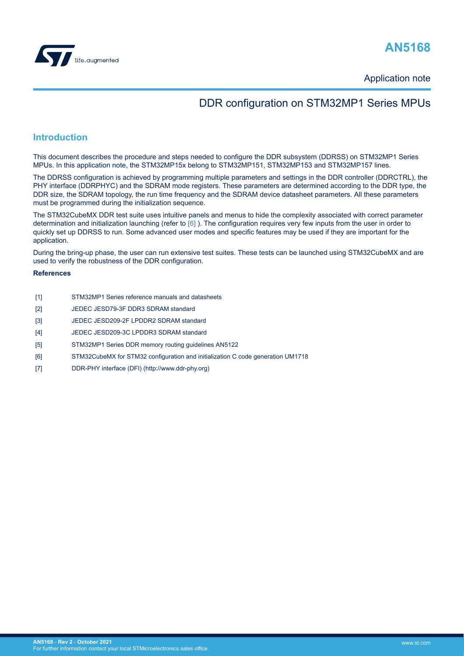<span id="page-0-0"></span>

Application note

# DDR configuration on STM32MP1 Series MPUs

## **Introduction**

This document describes the procedure and steps needed to configure the DDR subsystem (DDRSS) on STM32MP1 Series MPUs. In this application note, the STM32MP15x belong to STM32MP151, STM32MP153 and STM32MP157 lines.

The DDRSS configuration is achieved by programming multiple parameters and settings in the DDR controller (DDRCTRL), the PHY interface (DDRPHYC) and the SDRAM mode registers. These parameters are determined according to the DDR type, the DDR size, the SDRAM topology, the run time frequency and the SDRAM device datasheet parameters. All these parameters must be programmed during the initialization sequence.

The STM32CubeMX DDR test suite uses intuitive panels and menus to hide the complexity associated with correct parameter determination and initialization launching (refer to [6] ). The configuration requires very few inputs from the user in order to quickly set up DDRSS to run. Some advanced user modes and specific features may be used if they are important for the application.

During the bring-up phase, the user can run extensive test suites. These tests can be launched using STM32CubeMX and are used to verify the robustness of the DDR configuration.

### **References**

- [1] STM32MP1 Series reference manuals and datasheets
- [2] JEDEC JESD79-3F DDR3 SDRAM standard
- [3] JEDEC JESD209-2F LPDDR2 SDRAM standard
- [4] JEDEC JESD209-3C LPDDR3 SDRAM standard
- [5] STM32MP1 Series DDR memory routing guidelines AN5122
- [6] STM32CubeMX for STM32 configuration and initialization C code generation UM1718
- [7] DDR-PHY interface (DFI) (http://www.ddr-phy.org)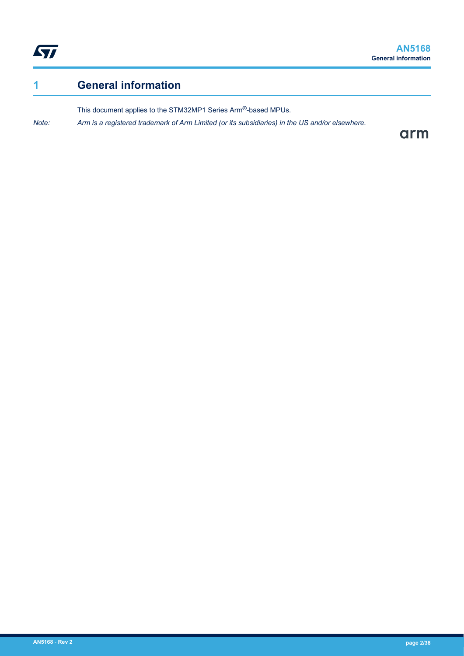<span id="page-1-0"></span>

# **1 General information**

This document applies to the STM32MP1 Series Arm®-based MPUs.

*Note: Arm is a registered trademark of Arm Limited (or its subsidiaries) in the US and/or elsewhere.*

arm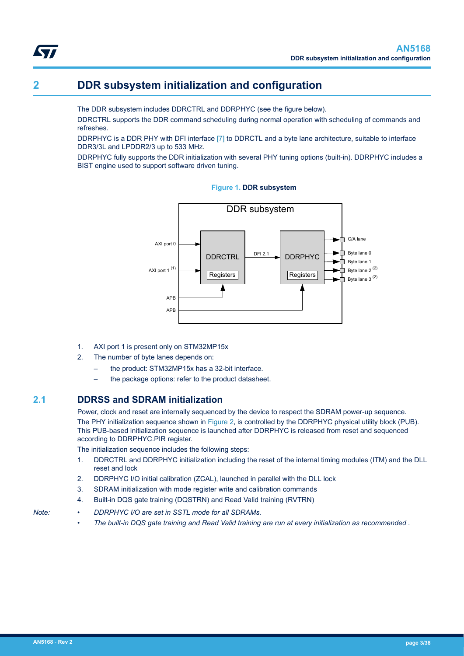# **2 DDR subsystem initialization and configuration**

The DDR subsystem includes DDRCTRL and DDRPHYC (see the figure below).

DDRCTRL supports the DDR command scheduling during normal operation with scheduling of commands and refreshes.

DDRPHYC is a DDR PHY with DFI interface [\[7\] t](#page-0-0)o DDRCTL and a byte lane architecture, suitable to interface DDR3/3L and LPDDR2/3 up to 533 MHz.

DDRPHYC fully supports the DDR initialization with several PHY tuning options (built-in). DDRPHYC includes a BIST engine used to support software driven tuning.



**Figure 1. DDR subsystem**

- 1. AXI port 1 is present only on STM32MP15x
- 2. The number of byte lanes depends on:
	- the product: STM32MP15x has a 32-bit interface.
	- the package options: refer to the product datasheet.

### **2.1 DDRSS and SDRAM initialization**

Power, clock and reset are internally sequenced by the device to respect the SDRAM power-up sequence. The PHY initialization sequence shown in [Figure 2,](#page-3-0) is controlled by the DDRPHYC physical utility block (PUB). This PUB-based initialization sequence is launched after DDRPHYC is released from reset and sequenced according to DDRPHYC.PIR register.

The initialization sequence includes the following steps:

- 1. DDRCTRL and DDRPHYC initialization including the reset of the internal timing modules (ITM) and the DLL reset and lock
- 2. DDRPHYC I/O initial calibration (ZCAL), launched in parallel with the DLL lock
- 3. SDRAM initialization with mode register write and calibration commands
- 4. Built-in DQS gate training (DQSTRN) and Read Valid training (RVTRN)
- 

<span id="page-2-0"></span>*kyi* 

- *Note: DDRPHYC I/O are set in SSTL mode for all SDRAMs.*
	- *The built-in DQS gate training and Read Valid training are run at every initialization as recommended .*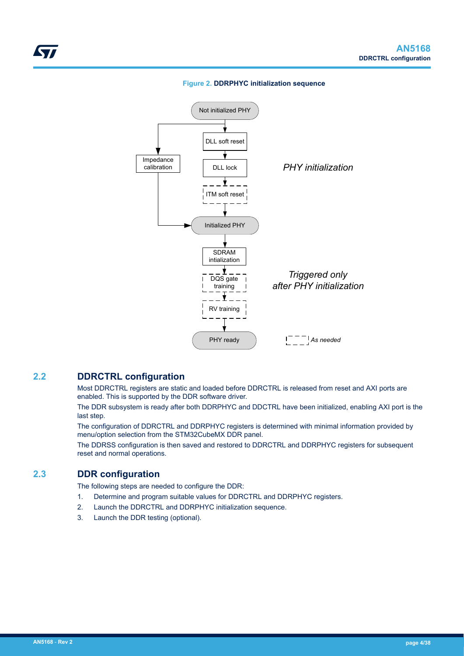

<span id="page-3-0"></span>

### **2.2 DDRCTRL configuration**

Most DDRCTRL registers are static and loaded before DDRCTRL is released from reset and AXI ports are enabled. This is supported by the DDR software driver.

The DDR subsystem is ready after both DDRPHYC and DDCTRL have been initialized, enabling AXI port is the last step.

The configuration of DDRCTRL and DDRPHYC registers is determined with minimal information provided by menu/option selection from the STM32CubeMX DDR panel.

The DDRSS configuration is then saved and restored to DDRCTRL and DDRPHYC registers for subsequent reset and normal operations.

## **2.3 DDR configuration**

The following steps are needed to configure the DDR:

- 1. Determine and program suitable values for DDRCTRL and DDRPHYC registers.
- 2. Launch the DDRCTRL and DDRPHYC initialization sequence.
- 3. Launch the DDR testing (optional).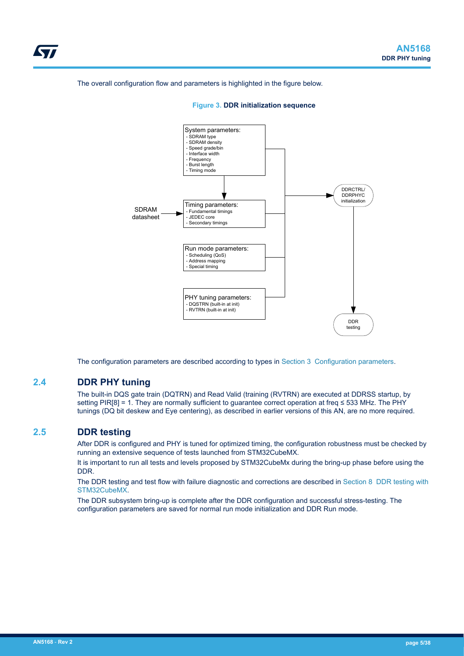The overall configuration flow and parameters is highlighted in the figure below.





The configuration parameters are described according to types in [Section 3 Configuration parameters](#page-5-0).

### **2.4 DDR PHY tuning**

The built-in DQS gate train (DQTRN) and Read Valid (training (RVTRN) are executed at DDRSS startup, by setting PIR[8] = 1. They are normally sufficient to quarantee correct operation at freq ≤ 533 MHz. The PHY tunings (DQ bit deskew and Eye centering), as described in earlier versions of this AN, are no more required.

### **2.5 DDR testing**

<span id="page-4-0"></span>W

After DDR is configured and PHY is tuned for optimized timing, the configuration robustness must be checked by running an extensive sequence of tests launched from STM32CubeMX.

It is important to run all tests and levels proposed by STM32CubeMx during the bring-up phase before using the DDR.

The DDR testing and test flow with failure diagnostic and corrections are described in [Section 8 DDR testing with](#page-27-0) [STM32CubeMX](#page-27-0).

The DDR subsystem bring-up is complete after the DDR configuration and successful stress-testing. The configuration parameters are saved for normal run mode initialization and DDR Run mode.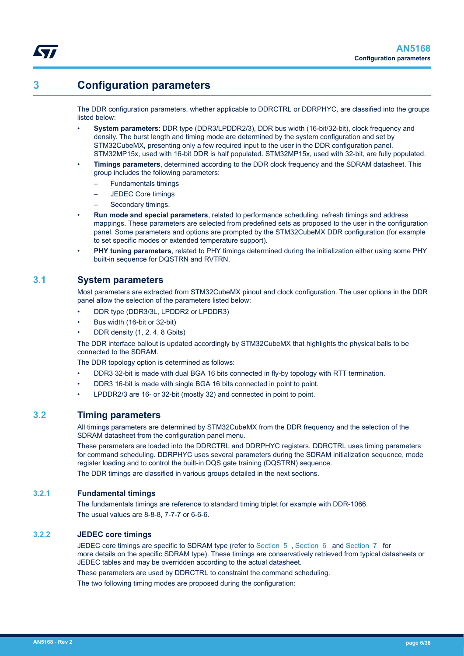# **3 Configuration parameters**

<span id="page-5-0"></span>ST

The DDR configuration parameters, whether applicable to DDRCTRL or DDRPHYC, are classified into the groups listed below:

- **System parameters**: DDR type (DDR3/LPDDR2/3), DDR bus width (16-bit/32-bit), clock frequency and density. The burst length and timing mode are determined by the system configuration and set by STM32CubeMX, presenting only a few required input to the user in the DDR configuration panel. STM32MP15x, used with 16-bit DDR is half populated. STM32MP15x, used with 32-bit, are fully populated.
- **Timings parameters**, determined according to the DDR clock frequency and the SDRAM datasheet. This group includes the following parameters:
	- Fundamentals timings
	- JEDEC Core timings
	- Secondary timings.
- **Run mode and special parameters**, related to performance scheduling, refresh timings and address mappings. These parameters are selected from predefined sets as proposed to the user in the configuration panel. Some parameters and options are prompted by the STM32CubeMX DDR configuration (for example to set specific modes or extended temperature support).
- **PHY tuning parameters**, related to PHY timings determined during the initialization either using some PHY built-in sequence for DQSTRN and RVTRN.

# **3.1 System parameters**

Most parameters are extracted from STM32CubeMX pinout and clock configuration. The user options in the DDR panel allow the selection of the parameters listed below:

- DDR type (DDR3/3L, LPDDR2 or LPDDR3)
- Bus width (16-bit or 32-bit)
- DDR density (1, 2, 4, 8 Gbits)

The DDR interface ballout is updated accordingly by STM32CubeMX that highlights the physical balls to be connected to the SDRAM.

The DDR topology option is determined as follows:

- DDR3 32-bit is made with dual BGA 16 bits connected in fly-by topology with RTT termination.
- DDR3 16-bit is made with single BGA 16 bits connected in point to point.
- LPDDR2/3 are 16- or 32-bit (mostly 32) and connected in point to point.

# **3.2 Timing parameters**

All timings parameters are determined by STM32CubeMX from the DDR frequency and the selection of the SDRAM datasheet from the configuration panel menu.

These parameters are loaded into the DDRCTRL and DDRPHYC registers. DDRCTRL uses timing parameters for command scheduling. DDRPHYC uses several parameters during the SDRAM initialization sequence, mode register loading and to control the built-in DQS gate training (DQSTRN) sequence.

The DDR timings are classified in various groups detailed in the next sections.

## **3.2.1 Fundamental timings**

The fundamentals timings are reference to standard timing triplet for example with DDR-1066. The usual values are 8-8-8, 7-7-7 or 6-6-6.

## **3.2.2 JEDEC core timings**

JEDEC core timings are specific to SDRAM type (refer to [Section 5 ,](#page-13-0) [Section 6](#page-21-0) and [Section 7](#page-26-0) for more details on the specific SDRAM type). These timings are conservatively retrieved from typical datasheets or JEDEC tables and may be overridden according to the actual datasheet.

These parameters are used by DDRCTRL to constraint the command scheduling.

The two following timing modes are proposed during the configuration: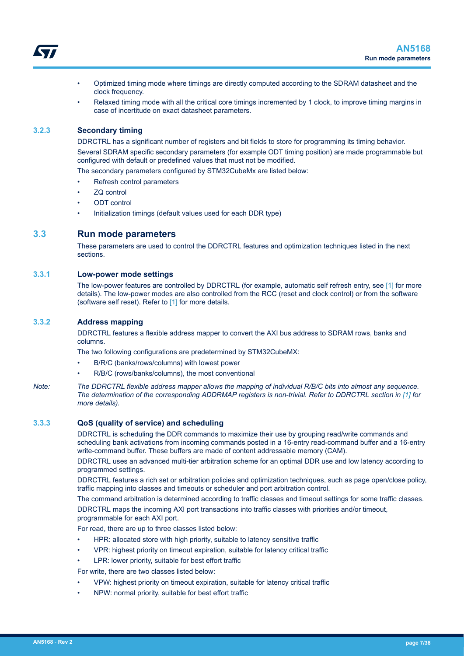- <span id="page-6-0"></span>• Optimized timing mode where timings are directly computed according to the SDRAM datasheet and the clock frequency.
- Relaxed timing mode with all the critical core timings incremented by 1 clock, to improve timing margins in case of incertitude on exact datasheet parameters.

### **3.2.3 Secondary timing**

DDRCTRL has a significant number of registers and bit fields to store for programming its timing behavior. Several SDRAM specific secondary parameters (for example ODT timing position) are made programmable but configured with default or predefined values that must not be modified.

The secondary parameters configured by STM32CubeMx are listed below:

- Refresh control parameters
- **ZQ** control
- ODT control
- Initialization timings (default values used for each DDR type)

### **3.3 Run mode parameters**

These parameters are used to control the DDRCTRL features and optimization techniques listed in the next sections.

### **3.3.1 Low-power mode settings**

The low-power features are controlled by DDRCTRL (for example, automatic self refresh entry, see [\[1\] f](#page-0-0)or more details). The low-power modes are also controlled from the RCC (reset and clock control) or from the software (software self reset). Refer to [\[1\]](#page-0-0) for more details.

### **3.3.2 Address mapping**

DDRCTRL features a flexible address mapper to convert the AXI bus address to SDRAM rows, banks and columns.

The two following configurations are predetermined by STM32CubeMX:

- B/R/C (banks/rows/columns) with lowest power
- R/B/C (rows/banks/columns), the most conventional
- *Note: The DDRCTRL flexible address mapper allows the mapping of individual R/B/C bits into almost any sequence. The determination of the corresponding ADDRMAP registers is non-trivial. Refer to DDRCTRL section in [\[1\]](#page-0-0) for more details).*

### **3.3.3 QoS (quality of service) and scheduling**

DDRCTRL is scheduling the DDR commands to maximize their use by grouping read/write commands and scheduling bank activations from incoming commands posted in a 16-entry read-command buffer and a 16-entry write-command buffer. These buffers are made of content addressable memory (CAM).

DDRCTRL uses an advanced multi-tier arbitration scheme for an optimal DDR use and low latency according to programmed settings.

DDRCTRL features a rich set or arbitration policies and optimization techniques, such as page open/close policy, traffic mapping into classes and timeouts or scheduler and port arbitration control.

The command arbitration is determined according to traffic classes and timeout settings for some traffic classes. DDRCTRL maps the incoming AXI port transactions into traffic classes with priorities and/or timeout, programmable for each AXI port.

For read, there are up to three classes listed below:

- HPR: allocated store with high priority, suitable to latency sensitive traffic
- VPR: highest priority on timeout expiration, suitable for latency critical traffic
- LPR: lower priority, suitable for best effort traffic

For write, there are two classes listed below:

- VPW: highest priority on timeout expiration, suitable for latency critical traffic
- NPW: normal priority, suitable for best effort traffic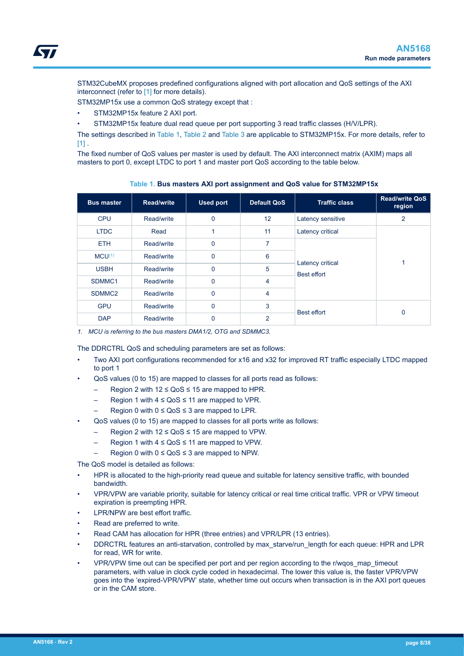<span id="page-7-0"></span>STM32CubeMX proposes predefined configurations aligned with port allocation and QoS settings of the AXI interconnect (refer to [\[1\]](#page-0-0) for more details).

STM32MP15x use a common QoS strategy except that :

- STM32MP15x feature 2 AXI port.
- STM32MP15x feature dual read queue per port supporting 3 read traffic classes (H/V/LPR).

The settings described in Table 1, [Table 2](#page-8-0) and [Table 3](#page-9-0) are applicable to STM32MP15x. For more details, refer to  $[1]$ .

The fixed number of QoS values per master is used by default. The AXI interconnect matrix (AXIM) maps all masters to port 0, except LTDC to port 1 and master port QoS according to the table below.

| <b>Bus master</b>  | <b>Read/write</b> | <b>Used port</b> | <b>Default QoS</b> | <b>Traffic class</b>                   | <b>Read/write QoS</b><br>region |
|--------------------|-------------------|------------------|--------------------|----------------------------------------|---------------------------------|
| <b>CPU</b>         | Read/write        | $\mathbf{0}$     | 12                 | Latency sensitive                      | $\overline{2}$                  |
| <b>LTDC</b>        | Read              | 1                | 11                 | Latency critical                       |                                 |
| <b>ETH</b>         | Read/write        | $\Omega$         | 7                  |                                        |                                 |
| $MCU^{(1)}$        | Read/write        | $\Omega$         | 6                  |                                        | 1                               |
| <b>USBH</b>        | Read/write        | $\Omega$         | 5                  | Latency critical<br><b>Best effort</b> |                                 |
| SDMMC <sub>1</sub> | Read/write        | $\Omega$         | 4                  |                                        |                                 |
| SDMMC <sub>2</sub> | Read/write        | $\Omega$         | 4                  |                                        |                                 |
| <b>GPU</b>         | Read/write        | $\Omega$         | 3                  | <b>Best effort</b>                     | $\Omega$                        |
| <b>DAP</b>         | Read/write        | $\Omega$         | $\overline{2}$     |                                        |                                 |

**Table 1. Bus masters AXI port assignment and QoS value for STM32MP15x**

*1. MCU is referring to the bus masters DMA1/2, OTG and SDMMC3.*

The DDRCTRL QoS and scheduling parameters are set as follows:

- Two AXI port configurations recommended for x16 and x32 for improved RT traffic especially LTDC mapped to port 1
- QoS values (0 to 15) are mapped to classes for all ports read as follows:
	- Region 2 with  $12 ≤ O<sub>0</sub>S ≤ 15$  are mapped to HPR.
	- Region 1 with  $4 \le Q<sub>0</sub>S \le 11$  are mapped to VPR.
	- Region 0 with  $0 \le Q$ oS  $\le 3$  are mapped to LPR.
- QoS values (0 to 15) are mapped to classes for all ports write as follows:
	- Region 2 with  $12 \le QoS \le 15$  are mapped to VPW.
	- Region 1 with  $4 \le Q<sub>0</sub>S \le 11$  are mapped to VPW.
	- Region 0 with  $0 \le Q_0S \le 3$  are mapped to NPW.

The QoS model is detailed as follows:

- HPR is allocated to the high-priority read queue and suitable for latency sensitive traffic, with bounded bandwidth.
- VPR/VPW are variable priority, suitable for latency critical or real time critical traffic. VPR or VPW timeout expiration is preempting HPR.
- LPR/NPW are best effort traffic.
- Read are preferred to write.
- Read CAM has allocation for HPR (three entries) and VPR/LPR (13 entries).
- DDRCTRL features an anti-starvation, controlled by max\_starve/run\_length for each queue: HPR and LPR for read, WR for write.
- VPR/VPW time out can be specified per port and per region according to the r/wqos\_map\_timeout parameters, with value in clock cycle coded in hexadecimal. The lower this value is, the faster VPR/VPW goes into the 'expired-VPR/VPW' state, whether time out occurs when transaction is in the AXI port queues or in the CAM store.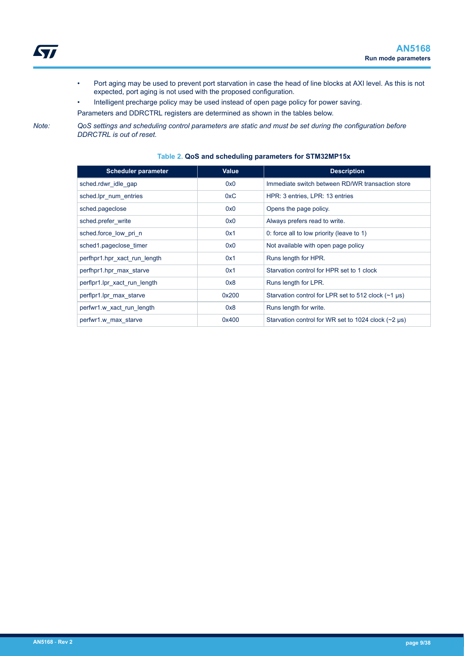<span id="page-8-0"></span>

- Port aging may be used to prevent port starvation in case the head of line blocks at AXI level. As this is not expected, port aging is not used with the proposed configuration.
- Intelligent precharge policy may be used instead of open page policy for power saving.

Parameters and DDRCTRL registers are determined as shown in the tables below.

*Note: QoS settings and scheduling control parameters are static and must be set during the configuration before DDRCTRL is out of reset.*

**Scheduler parameter Value Value Description** sched.rdwr\_idle\_gap 0x0 0x0 Immediate switch between RD/WR transaction store sched.lpr\_num\_entries 0xC HPR: 3 entries, LPR: 13 entries sched.pageclose 0x0 Opens the page policy. sched.prefer write 0x0 Always prefers read to write. sched.force\_low\_pri\_n 0x1 0: force all to low priority (leave to 1) sched1.pageclose\_timer  $0x0$  Not available with open page policy perfhpr1.hpr\_xact\_run\_length  $0x1$  Runs length for HPR. perfhpr1.hpr\_max\_starve 0x1 0x1 Starvation control for HPR set to 1 clock perflpr1.lpr\_xact\_run\_length 0x8 Runs length for LPR. perflpr1.lpr\_max\_starve  $0x200$  Starvation control for LPR set to 512 clock (~1 μs) perfwr1.w\_xact\_run\_length 0x8 Runs length for write. perfwr1.w\_max\_starve 10x400 Dx400 Starvation control for WR set to 1024 clock (~2 μs)

### **Table 2. QoS and scheduling parameters for STM32MP15x**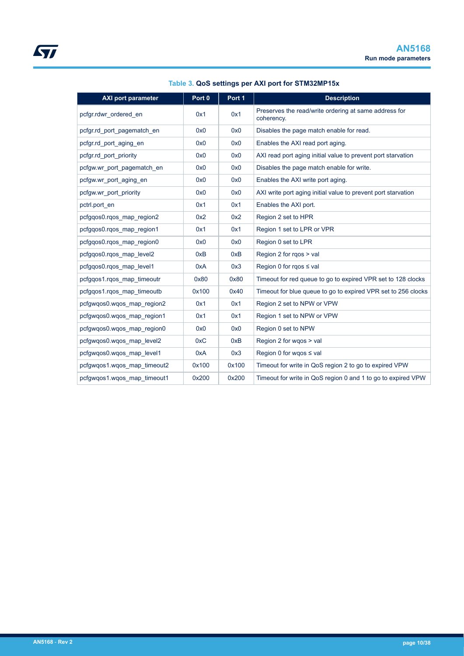<span id="page-9-0"></span>

| <b>AXI port parameter</b>   | Port 0 | Port 1 | <b>Description</b>                                                  |
|-----------------------------|--------|--------|---------------------------------------------------------------------|
| pcfgr.rdwr_ordered_en       | 0x1    | 0x1    | Preserves the read/write ordering at same address for<br>coherency. |
| pcfgr.rd_port_pagematch_en  | 0x0    | 0x0    | Disables the page match enable for read.                            |
| pcfgr.rd_port_aging_en      | 0x0    | 0x0    | Enables the AXI read port aging.                                    |
| pcfgr.rd port priority      | 0x0    | 0x0    | AXI read port aging initial value to prevent port starvation        |
| pcfgw.wr port pagematch en  | 0x0    | 0x0    | Disables the page match enable for write.                           |
| pcfgw.wr port aging en      | 0x0    | 0x0    | Enables the AXI write port aging.                                   |
| pcfgw.wr_port_priority      | 0x0    | 0x0    | AXI write port aging initial value to prevent port starvation       |
| pctrl.port en               | 0x1    | 0x1    | Enables the AXI port.                                               |
| pcfgqos0.rgos map region2   | 0x2    | 0x2    | Region 2 set to HPR                                                 |
| pcfggos0.rgos map region1   | 0x1    | 0x1    | Region 1 set to LPR or VPR                                          |
| pcfgqos0.rqos_map_region0   | 0x0    | 0x0    | Region 0 set to LPR                                                 |
| pcfgqos0.rqos_map_level2    | 0xB    | 0xB    | Region 2 for rgos > val                                             |
| pcfggos0.rgos map level1    | 0xA    | 0x3    | Region 0 for rgos ≤ val                                             |
| pcfgqos1.rqos map timeoutr  | 0x80   | 0x80   | Timeout for red queue to go to expired VPR set to 128 clocks        |
| pcfgqos1.rgos map timeoutb  | 0x100  | 0x40   | Timeout for blue queue to go to expired VPR set to 256 clocks       |
| pcfgwqos0.wqos_map_region2  | 0x1    | 0x1    | Region 2 set to NPW or VPW                                          |
| pcfgwgos0.wgos map region1  | 0x1    | 0x1    | Region 1 set to NPW or VPW                                          |
| pcfgwgos0.wgos map region0  | 0x0    | 0x0    | Region 0 set to NPW                                                 |
| pcfgwgos0.wgos map level2   | 0xC    | 0xB    | Region 2 for wgos > val                                             |
| pcfgwgos0.wgos map level1   | 0xA    | 0x3    | Region 0 for wgos $\leq$ val                                        |
| pcfgwgos1.wgos map timeout2 | 0x100  | 0x100  | Timeout for write in QoS region 2 to go to expired VPW              |
| pcfgwgos1.wgos map timeout1 | 0x200  | 0x200  | Timeout for write in QoS region 0 and 1 to go to expired VPW        |

### **Table 3. QoS settings per AXI port for STM32MP15x**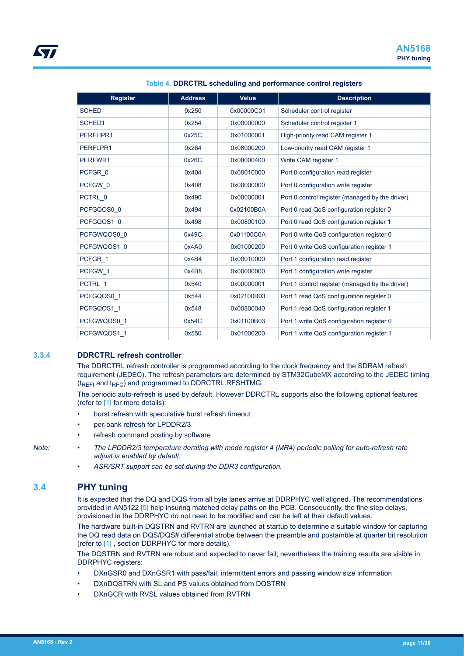<span id="page-10-0"></span>

| <b>Register</b> | <b>Address</b> | Value      | <b>Description</b>                              |
|-----------------|----------------|------------|-------------------------------------------------|
| <b>SCHED</b>    | 0x250          | 0x00000C01 | Scheduler control register                      |
| SCHED1          | 0x254          | 0x00000000 | Scheduler control register 1                    |
| PERFHPR1        | 0x25C          | 0x01000001 | High-priority read CAM register 1               |
| PERFLPR1        | 0x264          | 0x08000200 | Low-priority read CAM register 1                |
| PERFWR1         | 0x26C          | 0x08000400 | Write CAM register 1                            |
| PCFGR 0         | 0x404          | 0x00010000 | Port 0 configuration read register              |
| PCFGW 0         | 0x408          | 0x00000000 | Port 0 configuration write register             |
| PCTRL_0         | 0x490          | 0x00000001 | Port 0 control register (managed by the driver) |
| PCFGQOS0 0      | 0x494          | 0x02100B0A | Port 0 read QoS configuration register 0        |
| PCFGQOS1 0      | 0x498          | 0x00800100 | Port 0 read QoS configuration register 1        |
| PCFGWQOS0 0     | 0x49C          | 0x01100C0A | Port 0 write QoS configuration register 0       |
| PCFGWQOS1 0     | 0x4A0          | 0x01000200 | Port 0 write QoS configuration register 1       |
| PCFGR 1         | 0x4B4          | 0x00010000 | Port 1 configuration read register              |
| PCFGW 1         | 0x4B8          | 0x00000000 | Port 1 configuration write register             |
| PCTRL 1         | 0x540          | 0x00000001 | Port 1 control register (managed by the driver) |
| PCFGQOS0 1      | 0x544          | 0x02100B03 | Port 1 read QoS configuration register 0        |
| PCFGQOS1 1      | 0x548          | 0x00800040 | Port 1 read QoS configuration register 1        |
| PCFGWQOS0 1     | 0x54C          | 0x01100B03 | Port 1 write QoS configuration register 0       |
| PCFGWQOS1 1     | 0x550          | 0x01000200 | Port 1 write QoS configuration register 1       |

### **Table 4. DDRCTRL scheduling and performance control registers**

### **3.3.4 DDRCTRL refresh controller**

The DDRCTRL refresh controller is programmed according to the clock frequency and the SDRAM refresh requirement (JEDEC). The refresh parameters are determined by STM32CubeMX according to the JEDEC timing  $(t_{RFFI}$  and  $t_{RFC}$ ) and programmed to DDRCTRL.RFSHTMG.

The periodic auto-refresh is used by default. However DDRCTRL supports also the following optional features (refer to [\[1\] f](#page-0-0)or more details):

- burst refresh with speculative burst refresh timeout
- per-bank refresh for LPDDR2/3
- refresh command posting by software
- 
- *Note: The LPDDR2/3 temperature derating with mode register 4 (MR4) periodic polling for auto-refresh rate adjust is enabled by default.*
	- *ASR/SRT support can be set during the DDR3 configuration.*

### **3.4 PHY tuning**

It is expected that the DQ and DQS from all byte lanes arrive at DDRPHYC well aligned. The recommendations provided in AN5122 [\[5\]](#page-0-0) help insuring matched delay paths on the PCB. Consequently, the fine step delays, provisioned in the DDRPHYC do not need to be modified and can be left at their default values.

The hardware built-in DQSTRN and RVTRN are launched at startup to determine a suitable window for capturing the DQ read data on DQS/DQS# differential strobe between the preamble and postamble at quarter bit resolution (refer to [\[1\] ,](#page-0-0) section DDRPHYC for more details).

The DQSTRN and RVTRN are robust and expected to never fail; nevertheless the training results are visible in DDRPHYC registers:

- DXnGSR0 and DXnGSR1 with pass/fail, intermittent errors and passing window size information
- DXnDQSTRN with SL and PS values obtained from DQSTRN
- DXnGCR with RVSL values obtained from RVTRN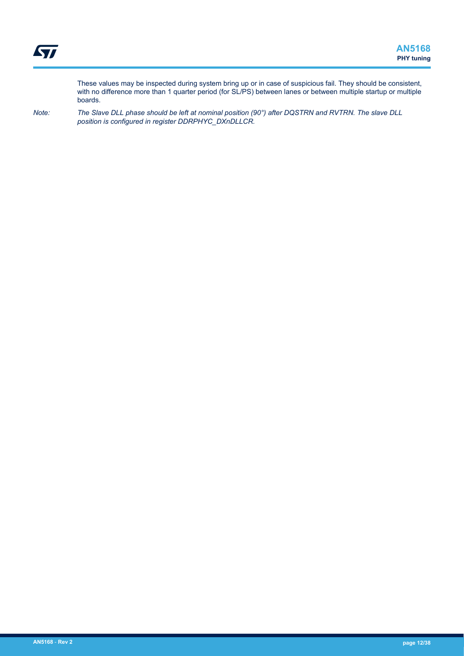These values may be inspected during system bring up or in case of suspicious fail. They should be consistent, with no difference more than 1 quarter period (for SL/PS) between lanes or between multiple startup or multiple boards.

*Note: The Slave DLL phase should be left at nominal position (90°) after DQSTRN and RVTRN. The slave DLL position is configured in register DDRPHYC\_DXnDLLCR.*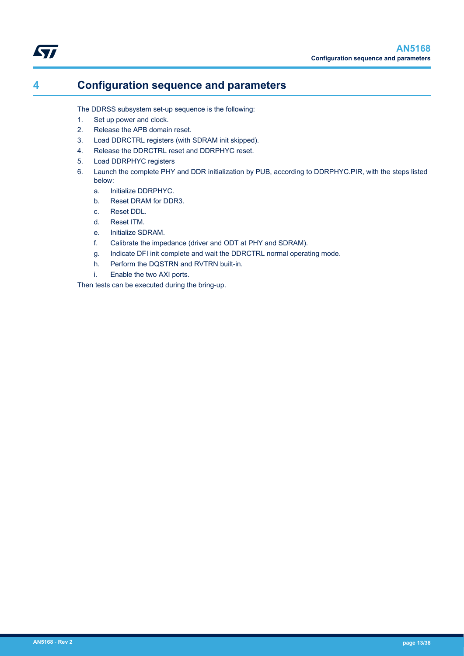# <span id="page-12-0"></span>**4 Configuration sequence and parameters**

The DDRSS subsystem set-up sequence is the following:

- 1. Set up power and clock.
- 2. Release the APB domain reset.
- 3. Load DDRCTRL registers (with SDRAM init skipped).
- 4. Release the DDRCTRL reset and DDRPHYC reset.
- 5. Load DDRPHYC registers
- 6. Launch the complete PHY and DDR initialization by PUB, according to DDRPHYC.PIR, with the steps listed below:
	- a. Initialize DDRPHYC.
	- b. Reset DRAM for DDR3.
	- c. Reset DDL.
	- d. Reset ITM.
	- e. Initialize SDRAM.
	- f. Calibrate the impedance (driver and ODT at PHY and SDRAM).
	- g. Indicate DFI init complete and wait the DDRCTRL normal operating mode.
	- h. Perform the DQSTRN and RVTRN built-in.
	- i. Enable the two AXI ports.

Then tests can be executed during the bring-up.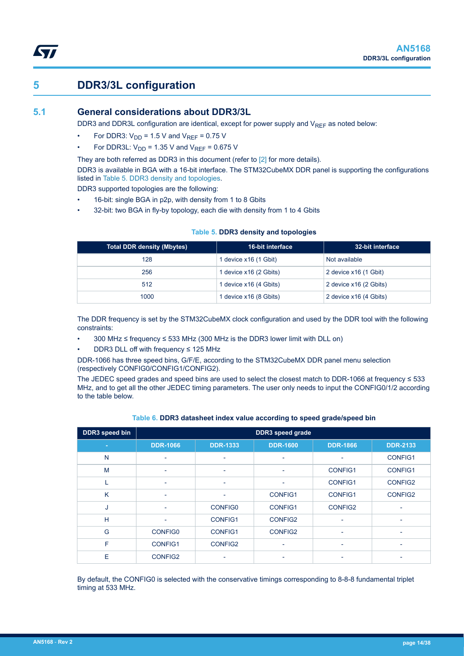# **5 DDR3/3L configuration**

<span id="page-13-0"></span>**kv**r

## **5.1 General considerations about DDR3/3L**

DDR3 and DDR3L configuration are identical, except for power supply and V<sub>REF</sub> as noted below:

- For DDR3:  $V_{DD}$  = 1.5 V and  $V_{REF}$  = 0.75 V
- For DDR3L:  $V_{DD}$  = 1.35 V and  $V_{REF}$  = 0.675 V

They are both referred as DDR3 in this document (refer to [\[2\] f](#page-0-0)or more details).

DDR3 is available in BGA with a 16-bit interface. The STM32CubeMX DDR panel is supporting the configurations listed in Table 5. DDR3 density and topologies.

DDR3 supported topologies are the following:

- 16-bit: single BGA in p2p, with density from 1 to 8 Gbits
- 32-bit: two BGA in fly-by topology, each die with density from 1 to 4 Gbits

| <b>Total DDR density (Mbytes)</b> | <b>16-bit interface</b> | 32-bit interface       |
|-----------------------------------|-------------------------|------------------------|
| 128                               | 1 device x16 (1 Gbit)   | Not available          |
| 256                               | 1 device x16 (2 Gbits)  | 2 device x16 (1 Gbit)  |
| 512                               | 1 device x16 (4 Gbits)  | 2 device x16 (2 Gbits) |
| 1000                              | 1 device x16 (8 Gbits)  | 2 device x16 (4 Gbits) |

### **Table 5. DDR3 density and topologies**

The DDR frequency is set by the STM32CubeMX clock configuration and used by the DDR tool with the following constraints:

- 300 MHz ≤ frequency ≤ 533 MHz (300 MHz is the DDR3 lower limit with DLL on)
- DDR3 DLL off with frequency ≤ 125 MHz

DDR-1066 has three speed bins, G/F/E, according to the STM32CubeMX DDR panel menu selection (respectively CONFIG0/CONFIG1/CONFIG2).

The JEDEC speed grades and speed bins are used to select the closest match to DDR-1066 at frequency ≤ 533 MHz, and to get all the other JEDEC timing parameters. The user only needs to input the CONFIG0/1/2 according to the table below.

| DDR3 speed bin | <b>DDR3</b> speed grade  |                          |                          |                          |                          |
|----------------|--------------------------|--------------------------|--------------------------|--------------------------|--------------------------|
| ۰              | <b>DDR-1066</b>          | <b>DDR-1333</b>          | <b>DDR-1600</b>          | <b>DDR-1866</b>          | <b>DDR-2133</b>          |
| N              | $\overline{\phantom{0}}$ | $\overline{\phantom{a}}$ | ٠                        |                          | <b>CONFIG1</b>           |
| M              | $\overline{\phantom{0}}$ | $\overline{\phantom{0}}$ | $\overline{\phantom{a}}$ | <b>CONFIG1</b>           | <b>CONFIG1</b>           |
| L              | $\overline{\phantom{a}}$ | $\overline{\phantom{a}}$ | $\overline{\phantom{a}}$ | <b>CONFIG1</b>           | CONFIG2                  |
| K              | $\overline{\phantom{0}}$ | $\overline{\phantom{a}}$ | <b>CONFIG1</b>           | <b>CONFIG1</b>           | <b>CONFIG2</b>           |
| J              |                          | <b>CONFIG0</b>           | <b>CONFIG1</b>           | CONFIG2                  |                          |
| H              |                          | <b>CONFIG1</b>           | CONFIG2                  |                          |                          |
| G              | <b>CONFIG0</b>           | <b>CONFIG1</b>           | CONFIG2                  | ٠                        | $\overline{a}$           |
| F              | <b>CONFIG1</b>           | CONFIG2                  | ٠                        | $\overline{\phantom{0}}$ | $\overline{\phantom{0}}$ |
| E              | <b>CONFIG2</b>           |                          | ۰                        |                          | $\overline{a}$           |

### **Table 6. DDR3 datasheet index value according to speed grade/speed bin**

By default, the CONFIG0 is selected with the conservative timings corresponding to 8-8-8 fundamental triplet timing at 533 MHz.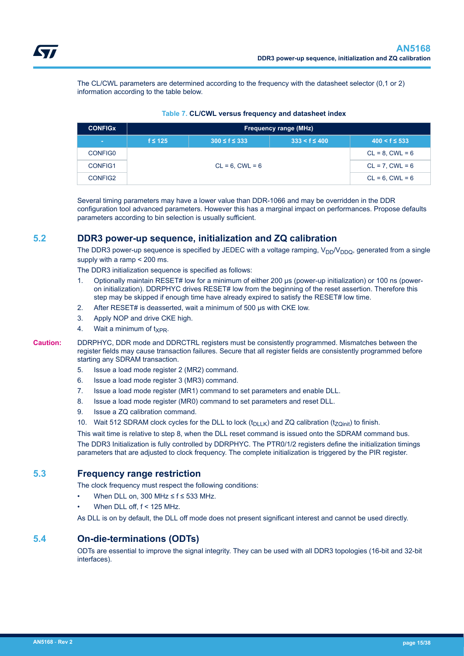<span id="page-14-0"></span>The CL/CWL parameters are determined according to the frequency with the datasheet selector (0,1 or 2) information according to the table below.

| <b>CONFIGX</b> | <b>Frequency range (MHz)</b> |                      |                      |                      |
|----------------|------------------------------|----------------------|----------------------|----------------------|
| $\sim$         | $f \leq 125$                 | $300 \le f \le 333$  | $333 < f \leq 400$   | $400 < f \leq 533$   |
| CONFIG0        |                              |                      |                      | $CL = 8$ , $CWL = 6$ |
| CONFIG1        |                              | $CL = 6$ , $CWL = 6$ |                      | $CL = 7$ , $CWL = 6$ |
| CONFIG2        |                              |                      | $CL = 6$ , $CWL = 6$ |                      |

### **Table 7. CL/CWL versus frequency and datasheet index**

Several timing parameters may have a lower value than DDR-1066 and may be overridden in the DDR configuration tool advanced parameters. However this has a marginal impact on performances. Propose defaults parameters according to bin selection is usually sufficient.

# **5.2 DDR3 power-up sequence, initialization and ZQ calibration**

The DDR3 power-up sequence is specified by JEDEC with a voltage ramping,  $V_{DD}V_{DDQ}$ , generated from a single supply with a ramp < 200 ms.

The DDR3 initialization sequence is specified as follows:

- 1. Optionally maintain RESET# low for a minimum of either 200 μs (power-up initialization) or 100 ns (poweron initialization). DDRPHYC drives RESET# low from the beginning of the reset assertion. Therefore this step may be skipped if enough time have already expired to satisfy the RESET# low time.
- 2. After RESET# is deasserted, wait a minimum of 500 μs with CKE low.
- 3. Apply NOP and drive CKE high.
- 4. Wait a minimum of  $t_{XPR}$ .
- **Caution:** DDRPHYC, DDR mode and DDRCTRL registers must be consistently programmed. Mismatches between the register fields may cause transaction failures. Secure that all register fields are consistently programmed before starting any SDRAM transaction.
	- 5. Issue a load mode register 2 (MR2) command.
	- 6. Issue a load mode register 3 (MR3) command.
	- 7. Issue a load mode register (MR1) command to set parameters and enable DLL.
	- 8. Issue a load mode register (MR0) command to set parameters and reset DLL.
	- 9. Issue a ZQ calibration command.
	- 10. Wait 512 SDRAM clock cycles for the DLL to lock  $(t_{D+K})$  and ZQ calibration (t<sub>zOinit</sub>) to finish.

This wait time is relative to step 8, when the DLL reset command is issued onto the SDRAM command bus. The DDR3 Initialization is fully controlled by DDRPHYC. The PTR0/1/2 registers define the initialization timings parameters that are adjusted to clock frequency. The complete initialization is triggered by the PIR register.

### **5.3 Frequency range restriction**

The clock frequency must respect the following conditions:

- When DLL on, 300 MHz  $\leq f \leq 533$  MHz.
- When DLL off, f < 125 MHz.

As DLL is on by default, the DLL off mode does not present significant interest and cannot be used directly.

### **5.4 On-die-terminations (ODTs)**

ODTs are essential to improve the signal integrity. They can be used with all DDR3 topologies (16-bit and 32-bit interfaces).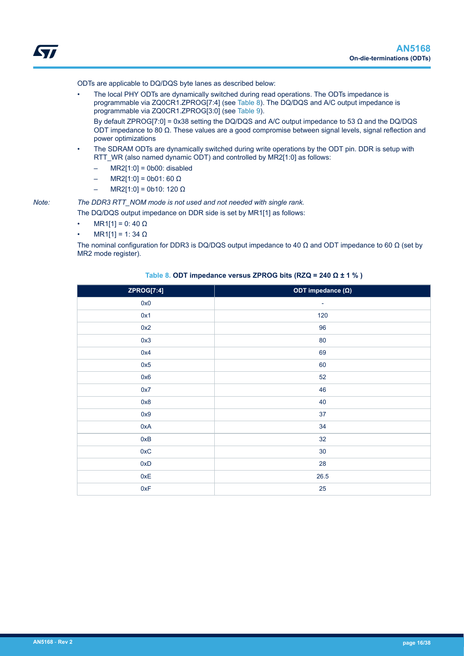<span id="page-15-0"></span>ODTs are applicable to DQ/DQS byte lanes as described below:

• The local PHY ODTs are dynamically switched during read operations. The ODTs impedance is programmable via ZQ0CR1.ZPROG[7:4] (see Table 8). The DQ/DQS and A/C output impedance is programmable via ZQ0CR1.ZPROG[3:0] (see [Table 9](#page-16-0)).

By default ZPROG[7:0] = 0x38 setting the DQ/DQS and A/C output impedance to 53 Ω and the DQ/DQS ODT impedance to 80 Ω. These values are a good compromise between signal levels, signal reflection and power optimizations

- The SDRAM ODTs are dynamically switched during write operations by the ODT pin. DDR is setup with RTT\_WR (also named dynamic ODT) and controlled by MR2[1:0] as follows:
	- $-$  MR2[1:0] = 0b00: disabled
	- $MR2[1:0] = 0b01: 60 Ω$
	- $MR2[1:0] = 0b10: 120 Ω$

*Note: The DDR3 RTT\_NOM mode is not used and not needed with single rank.*

The DQ/DQS output impedance on DDR side is set by MR1[1] as follows:

- $MR1[1] = 0: 40 Ω$
- $MR1[1] = 1: 34 Ω$

The nominal configuration for DDR3 is DQ/DQS output impedance to 40  $\Omega$  and ODT impedance to 60  $\Omega$  (set by MR2 mode register).

| ZPROG[7:4] | ODT impedance $(\Omega)$ |
|------------|--------------------------|
| 0x0        | ٠                        |
| 0x1        | 120                      |
| 0x2        | 96                       |
| 0x3        | 80                       |
| 0x4        | 69                       |
| 0x5        | 60                       |
| 0x6        | 52                       |
| 0x7        | 46                       |
| 0x8        | 40                       |
| 0x9        | 37                       |
| 0xA        | 34                       |
| 0xB        | 32                       |
| 0xC        | 30                       |
| 0xD        | 28                       |
| 0xE        | 26.5                     |
| 0xF        | 25                       |

### **Table 8. ODT impedance versus ZPROG bits (RZQ = 240 Ω ± 1 % )**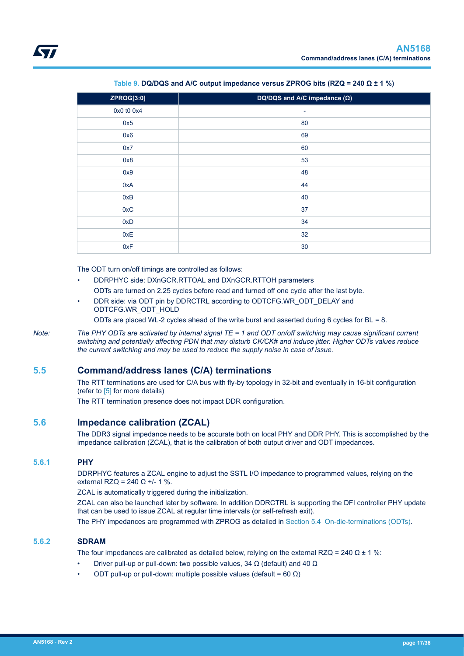<span id="page-16-0"></span>

| ZPROG[3:0] | DQ/DQS and A/C impedance $(\Omega)$ |
|------------|-------------------------------------|
| 0x0 t0 0x4 | -                                   |
| 0x5        | 80                                  |
| 0x6        | 69                                  |
| 0x7        | 60                                  |
| 0x8        | 53                                  |
| 0x9        | 48                                  |
| 0xA        | 44                                  |
| 0xB        | 40                                  |
| 0xC        | 37                                  |
| 0xD        | 34                                  |
| 0xE        | 32                                  |
| 0xF        | 30                                  |

**Table 9. DQ/DQS and A/C output impedance versus ZPROG bits (RZQ = 240 Ω ± 1 %)**

The ODT turn on/off timings are controlled as follows:

- DDRPHYC side: DXnGCR.RTTOAL and DXnGCR.RTTOH parameters ODTs are turned on 2.25 cycles before read and turned off one cycle after the last byte.
- DDR side: via ODT pin by DDRCTRL according to ODTCFG.WR\_ODT\_DELAY and ODTCFG.WR\_ODT\_HOLD

ODTs are placed WL-2 cycles ahead of the write burst and asserted during 6 cycles for BL = 8.

*Note: The PHY ODTs are activated by internal signal TE = 1 and ODT on/off switching may cause significant current switching and potentially affecting PDN that may disturb CK/CK# and induce jitter. Higher ODTs values reduce the current switching and may be used to reduce the supply noise in case of issue.*

## **5.5 Command/address lanes (C/A) terminations**

The RTT terminations are used for C/A bus with fly-by topology in 32-bit and eventually in 16-bit configuration (refer to [\[5\] f](#page-0-0)or more details)

The RTT termination presence does not impact DDR configuration.

## **5.6 Impedance calibration (ZCAL)**

The DDR3 signal impedance needs to be accurate both on local PHY and DDR PHY. This is accomplished by the impedance calibration (ZCAL), that is the calibration of both output driver and ODT impedances.

### **5.6.1 PHY**

DDRPHYC features a ZCAL engine to adjust the SSTL I/O impedance to programmed values, relying on the external RZQ = 240 Ω +/- 1 %.

ZCAL is automatically triggered during the initialization.

ZCAL can also be launched later by software. In addition DDRCTRL is supporting the DFI controller PHY update that can be used to issue ZCAL at regular time intervals (or self-refresh exit).

The PHY impedances are programmed with ZPROG as detailed in [Section 5.4 On-die-terminations \(ODTs\).](#page-14-0)

### **5.6.2 SDRAM**

The four impedances are calibrated as detailed below, relying on the external RZQ = 240  $\Omega$  ± 1 %:

- Driver pull-up or pull-down: two possible values, 34 Ω (default) and 40 Ω
- ODT pull-up or pull-down: multiple possible values (default = 60 Ω)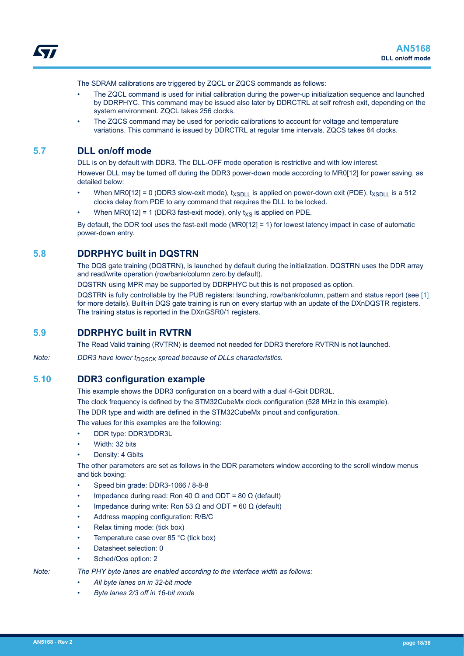<span id="page-17-0"></span>The SDRAM calibrations are triggered by ZQCL or ZQCS commands as follows:

- The ZQCL command is used for initial calibration during the power-up initialization sequence and launched by DDRPHYC. This command may be issued also later by DDRCTRL at self refresh exit, depending on the system environment. ZQCL takes 256 clocks.
- The ZQCS command may be used for periodic calibrations to account for voltage and temperature variations. This command is issued by DDRCTRL at regular time intervals. ZQCS takes 64 clocks.

### **5.7 DLL on/off mode**

DLL is on by default with DDR3. The DLL-OFF mode operation is restrictive and with low interest. However DLL may be turned off during the DDR3 power-down mode according to MR0[12] for power saving, as detailed below:

- When MR0[12] = 0 (DDR3 slow-exit mode),  $t_{XSDLL}$  is applied on power-down exit (PDE).  $t_{XSDLL}$  is a 512 clocks delay from PDE to any command that requires the DLL to be locked.
- When MR0[12] = 1 (DDR3 fast-exit mode), only  $t_{\text{XS}}$  is applied on PDE.

By default, the DDR tool uses the fast-exit mode (MR0[12] = 1) for lowest latency impact in case of automatic power-down entry.

## **5.8 DDRPHYC built in DQSTRN**

The DQS gate training (DQSTRN), is launched by default during the initialization. DQSTRN uses the DDR array and read/write operation (row/bank/column zero by default).

DQSTRN using MPR may be supported by DDRPHYC but this is not proposed as option.

DQSTRN is fully controllable by the PUB registers: launching, row/bank/column, pattern and status report (see [\[1\]](#page-0-0) for more details). Built-in DQS gate training is run on every startup with an update of the DXnDQSTR registers. The training status is reported in the DXnGSR0/1 registers.

### **5.9 DDRPHYC built in RVTRN**

The Read Valid training (RVTRN) is deemed not needed for DDR3 therefore RVTRN is not launched.

*Note:* DDR3 have lower  $t_{DOSCK}$  spread because of DLLs characteristics.

### **5.10 DDR3 configuration example**

This example shows the DDR3 configuration on a board with a dual 4-Gbit DDR3L.

The clock frequency is defined by the STM32CubeMx clock configuration (528 MHz in this example).

The DDR type and width are defined in the STM32CubeMx pinout and configuration.

The values for this examples are the following:

- DDR type: DDR3/DDR3L
- Width: 32 bits
- Density: 4 Gbits

The other parameters are set as follows in the DDR parameters window according to the scroll window menus and tick boxing:

- Speed bin grade: DDR3-1066 / 8-8-8
- Impedance during read: Ron 40 Ω and ODT = 80 Ω (default)
- Impedance during write: Ron 53 Ω and ODT = 60 Ω (default)
- Address mapping configuration: R/B/C
- Relax timing mode: (tick box)
- Temperature case over 85 °C (tick box)
- Datasheet selection: 0
- Sched/Qos option: 2

### *Note: The PHY byte lanes are enabled according to the interface width as follows:*

- *All byte lanes on in 32-bit mode*
- *Byte lanes 2/3 off in 16-bit mode*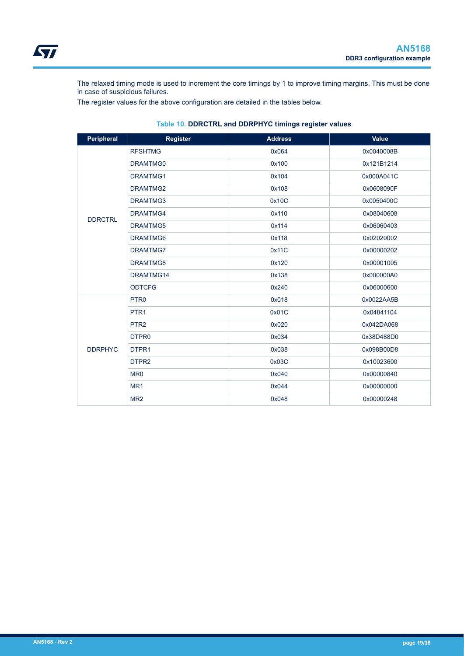<span id="page-18-0"></span>The relaxed timing mode is used to increment the core timings by 1 to improve timing margins. This must be done in case of suspicious failures.

The register values for the above configuration are detailed in the tables below.

| Peripheral     | Register          | <b>Address</b> | <b>Value</b> |
|----------------|-------------------|----------------|--------------|
|                | <b>RFSHTMG</b>    | 0x064          | 0x0040008B   |
|                | DRAMTMG0          | 0x100          | 0x121B1214   |
|                | <b>DRAMTMG1</b>   | 0x104          | 0x000A041C   |
|                | DRAMTMG2          | 0x108          | 0x0608090F   |
|                | DRAMTMG3          | 0x10C          | 0x0050400C   |
| <b>DDRCTRL</b> | DRAMTMG4          | 0x110          | 0x08040608   |
|                | DRAMTMG5          | 0x114          | 0x06060403   |
|                | DRAMTMG6          | 0x118          | 0x02020002   |
|                | DRAMTMG7          | 0x11C          | 0x00000202   |
|                | DRAMTMG8          | 0x120          | 0x00001005   |
|                | DRAMTMG14         | 0x138          | 0x000000A0   |
|                | <b>ODTCFG</b>     | 0x240          | 0x06000600   |
|                | PTR <sub>0</sub>  | 0x018          | 0x0022AA5B   |
|                | PTR <sub>1</sub>  | 0x01C          | 0x04841104   |
|                | PTR <sub>2</sub>  | 0x020          | 0x042DA068   |
|                | DTPR <sub>0</sub> | 0x034          | 0x38D488D0   |
| <b>DDRPHYC</b> | DTPR1             | 0x038          | 0x098B00D8   |
|                | DTPR <sub>2</sub> | 0x03C          | 0x10023600   |
|                | MR <sub>0</sub>   | 0x040          | 0x00000840   |
|                | MR <sub>1</sub>   | 0x044          | 0x00000000   |
|                | MR <sub>2</sub>   | 0x048          | 0x00000248   |

### **Table 10. DDRCTRL and DDRPHYC timings register values**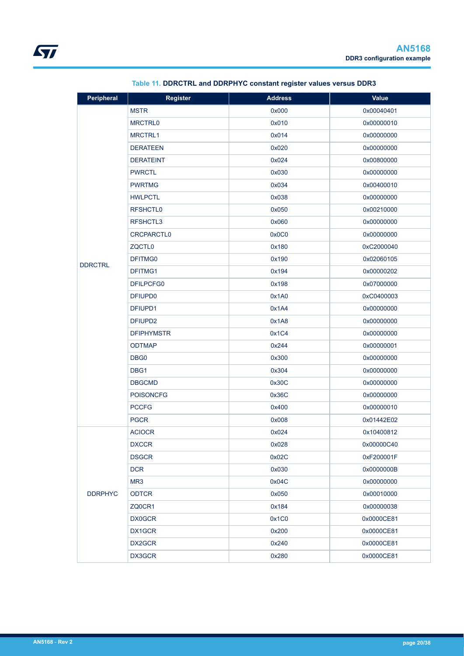<span id="page-19-0"></span>

| Peripheral     | <b>Register</b>     | <b>Address</b> | <b>Value</b> |
|----------------|---------------------|----------------|--------------|
|                | <b>MSTR</b>         | 0x000          | 0x00040401   |
|                | <b>MRCTRL0</b>      | 0x010          | 0x00000010   |
|                | <b>MRCTRL1</b>      | 0x014          | 0x00000000   |
|                | <b>DERATEEN</b>     | 0x020          | 0x00000000   |
|                | <b>DERATEINT</b>    | 0x024          | 0x00800000   |
|                | <b>PWRCTL</b>       | 0x030          | 0x00000000   |
|                | <b>PWRTMG</b>       | 0x034          | 0x00400010   |
|                | <b>HWLPCTL</b>      | 0x038          | 0x00000000   |
|                | <b>RFSHCTL0</b>     | 0x050          | 0x00210000   |
|                | RFSHCTL3            | 0x060          | 0x00000000   |
|                | <b>CRCPARCTLO</b>   | 0x0C0          | 0x00000000   |
|                | ZQCTL <sub>0</sub>  | 0x180          | 0xC2000040   |
| <b>DDRCTRL</b> | DFITMG0             | 0x190          | 0x02060105   |
|                | DFITMG1             | 0x194          | 0x00000202   |
|                | DFILPCFG0           | 0x198          | 0x07000000   |
|                | DFIUPD <sub>0</sub> | 0x1A0          | 0xC0400003   |
|                | DFIUPD1             | 0x1A4          | 0x00000000   |
|                | DFIUPD <sub>2</sub> | 0x1A8          | 0x00000000   |
|                | <b>DFIPHYMSTR</b>   | 0x1C4          | 0x00000000   |
|                | <b>ODTMAP</b>       | 0x244          | 0x00000001   |
|                | DBG <sub>0</sub>    | 0x300          | 0x00000000   |
|                | DBG1                | 0x304          | 0x00000000   |
|                | <b>DBGCMD</b>       | 0x30C          | 0x00000000   |
|                | <b>POISONCFG</b>    | 0x36C          | 0x00000000   |
|                | <b>PCCFG</b>        | 0x400          | 0x00000010   |
|                | <b>PGCR</b>         | 0x008          | 0x01442E02   |
|                | <b>ACIOCR</b>       | 0x024          | 0x10400812   |
|                | <b>DXCCR</b>        | 0x028          | 0x00000C40   |
|                | <b>DSGCR</b>        | 0x02C          | 0xF200001F   |
|                | <b>DCR</b>          | 0x030          | 0x0000000B   |
|                | MR <sub>3</sub>     | 0x04C          | 0x00000000   |
| <b>DDRPHYC</b> | <b>ODTCR</b>        | 0x050          | 0x00010000   |
|                | ZQ0CR1              | 0x184          | 0x00000038   |
|                | <b>DX0GCR</b>       | 0x1C0          | 0x0000CE81   |
|                | DX1GCR              | 0x200          | 0x0000CE81   |
|                | DX2GCR              | 0x240          | 0x0000CE81   |
|                | DX3GCR              | 0x280          | 0x0000CE81   |

# **Table 11. DDRCTRL and DDRPHYC constant register values versus DDR3**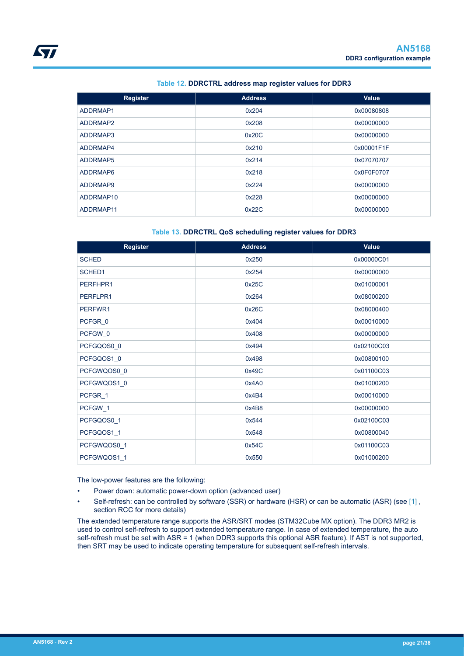### **Table 12. DDRCTRL address map register values for DDR3**

<span id="page-20-0"></span>

| <b>Register</b> | <b>Address</b> | Value      |
|-----------------|----------------|------------|
| ADDRMAP1        | 0x204          | 0x00080808 |
| ADDRMAP2        | 0x208          | 0x00000000 |
| ADDRMAP3        | 0x20C          | 0x00000000 |
| ADDRMAP4        | 0x210          | 0x00001F1F |
| ADDRMAP5        | 0x214          | 0x07070707 |
| ADDRMAP6        | 0x218          | 0x0F0F0707 |
| ADDRMAP9        | 0x224          | 0x00000000 |
| ADDRMAP10       | 0x228          | 0x00000000 |
| ADDRMAP11       | 0x22C          | 0x00000000 |

### **Table 13. DDRCTRL QoS scheduling register values for DDR3**

| <b>Register</b> | <b>Address</b> | <b>Value</b> |
|-----------------|----------------|--------------|
| <b>SCHED</b>    | 0x250          | 0x00000C01   |
| SCHED1          | 0x254          | 0x00000000   |
| PERFHPR1        | 0x25C          | 0x01000001   |
| PERFLPR1        | 0x264          | 0x08000200   |
| PERFWR1         | 0x26C          | 0x08000400   |
| PCFGR 0         | 0x404          | 0x00010000   |
| PCFGW 0         | 0x408          | 0x00000000   |
| PCFGQOS0_0      | 0x494          | 0x02100C03   |
| PCFGQOS1_0      | 0x498          | 0x00800100   |
| PCFGWQOS0_0     | 0x49C          | 0x01100C03   |
| PCFGWQOS1_0     | 0x4A0          | 0x01000200   |
| PCFGR_1         | 0x4B4          | 0x00010000   |
| PCFGW_1         | 0x4B8          | 0x00000000   |
| PCFGQOS0_1      | 0x544          | 0x02100C03   |
| PCFGQOS1 1      | 0x548          | 0x00800040   |
| PCFGWQOS0_1     | 0x54C          | 0x01100C03   |
| PCFGWQOS1_1     | 0x550          | 0x01000200   |

The low-power features are the following:

- Power down: automatic power-down option (advanced user)
- Self-refresh: can be controlled by software (SSR) or hardware (HSR) or can be automatic (ASR) (see [1], section RCC for more details)

The extended temperature range supports the ASR/SRT modes (STM32Cube MX option). The DDR3 MR2 is used to control self-refresh to support extended temperature range. In case of extended temperature, the auto self-refresh must be set with ASR = 1 (when DDR3 supports this optional ASR feature). If AST is not supported, then SRT may be used to indicate operating temperature for subsequent self-refresh intervals.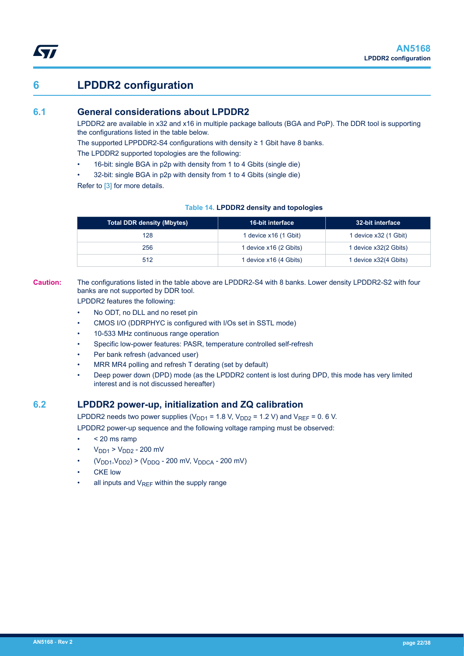# <span id="page-21-0"></span>**6 LPDDR2 configuration**

## **6.1 General considerations about LPDDR2**

LPDDR2 are available in x32 and x16 in multiple package ballouts (BGA and PoP). The DDR tool is supporting the configurations listed in the table below.

The supported LPPDDR2-S4 configurations with density  $\geq 1$  Gbit have 8 banks.

The LPDDR2 supported topologies are the following:

- 16-bit: single BGA in p2p with density from 1 to 4 Gbits (single die)
- 32-bit: single BGA in p2p with density from 1 to 4 Gbits (single die)

Refer to [\[3\]](#page-0-0) for more details.

### **Table 14. LPDDR2 density and topologies**

| Total DDR density (Mbytes) | <b>16-bit interface</b> | 32-bit interface      |
|----------------------------|-------------------------|-----------------------|
| 128                        | 1 device x16 (1 Gbit)   | 1 device x32 (1 Gbit) |
| 256                        | 1 device x16 (2 Gbits)  | 1 device x32(2 Gbits) |
| 512                        | 1 device x16 (4 Gbits)  | 1 device x32(4 Gbits) |

**Caution:** The configurations listed in the table above are LPDDR2-S4 with 8 banks. Lower density LPDDR2-S2 with four banks are not supported by DDR tool.

LPDDR2 features the following:

- No ODT, no DLL and no reset pin
- CMOS I/O (DDRPHYC is configured with I/Os set in SSTL mode)
- 10-533 MHz continuous range operation
- Specific low-power features: PASR, temperature controlled self-refresh
- Per bank refresh (advanced user)
- MRR MR4 polling and refresh T derating (set by default)
- Deep power down (DPD) mode (as the LPDDR2 content is lost during DPD, this mode has very limited interest and is not discussed hereafter)

### **6.2 LPDDR2 power-up, initialization and ZQ calibration**

LPDDR2 needs two power supplies ( $V_{DD1}$  = 1.8 V,  $V_{DD2}$  = 1.2 V) and  $V_{REF}$  = 0.6 V.

LPDDR2 power-up sequence and the following voltage ramping must be observed:

- < 20 ms ramp
- $V_{DD1}$  >  $V_{DD2}$  200 mV
- $(V_{DD1}, V_{DD2})$  >  $(V_{DDQ}$  200 mV,  $V_{DDCA}$  200 mV)
- **CKE** low
- all inputs and  $V_{RFF}$  within the supply range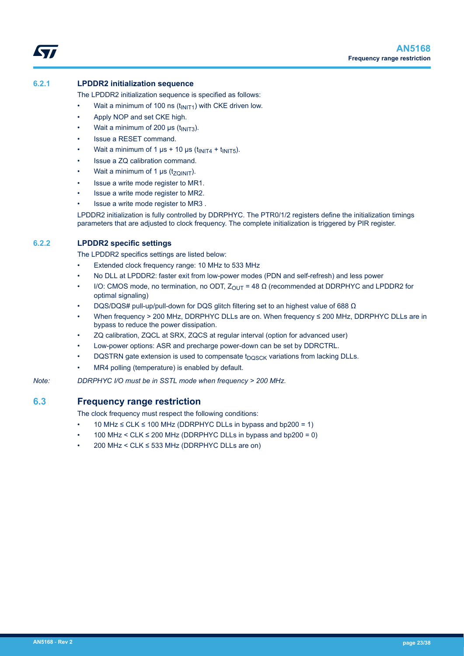<span id="page-22-0"></span>

### **6.2.1 LPDDR2 initialization sequence**

The LPDDR2 initialization sequence is specified as follows:

- Wait a minimum of 100 ns  $(t_{\text{INIT1}})$  with CKE driven low.
- Apply NOP and set CKE high.
- Wait a minimum of 200 μs  $(t_{\text{INIT3}})$ .
- Issue a RESET command.
- Wait a minimum of 1  $\mu$ s + 10  $\mu$ s (t<sub>INIT4</sub> + t<sub>INIT5</sub>).
- Issue a ZQ calibration command.
- Wait a minimum of 1  $\mu$ s (t<sub>ZQINIT</sub>).
- Issue a write mode register to MR1.
- Issue a write mode register to MR2.
- Issue a write mode register to MR3 .

LPDDR2 initialization is fully controlled by DDRPHYC. The PTR0/1/2 registers define the initialization timings parameters that are adjusted to clock frequency. The complete initialization is triggered by PIR register.

### **6.2.2 LPDDR2 specific settings**

The LPDDR2 specifics settings are listed below:

- Extended clock frequency range: 10 MHz to 533 MHz
- No DLL at LPDDR2: faster exit from low-power modes (PDN and self-refresh) and less power
- I/O: CMOS mode, no termination, no ODT,  $Z_{OUT}$  = 48 Ω (recommended at DDRPHYC and LPDDR2 for optimal signaling)
- DQS/DQS# pull-up/pull-down for DQS glitch filtering set to an highest value of 688 Ω
- When frequency > 200 MHz, DDRPHYC DLLs are on. When frequency ≤ 200 MHz, DDRPHYC DLLs are in bypass to reduce the power dissipation.
- ZQ calibration, ZQCL at SRX, ZQCS at regular interval (option for advanced user)
- Low-power options: ASR and precharge power-down can be set by DDRCTRL.
- DQSTRN gate extension is used to compensate  $t_{DOSCK}$  variations from lacking DLLs.
- MR4 polling (temperature) is enabled by default.
- *Note: DDRPHYC I/O must be in SSTL mode when frequency > 200 MHz.*

## **6.3 Frequency range restriction**

The clock frequency must respect the following conditions:

- 10 MHz ≤ CLK ≤ 100 MHz (DDRPHYC DLLs in bypass and bp200 = 1)
- $100$  MHz < CLK  $\leq 200$  MHz (DDRPHYC DLLs in bypass and bp200 = 0)
- 200 MHz < CLK ≤ 533 MHz (DDRPHYC DLLs are on)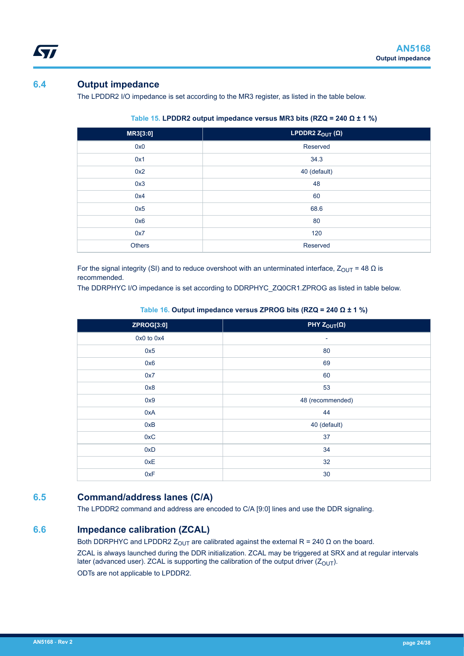## **6.4 Output impedance**

<span id="page-23-0"></span>*Lyt* 

The LPDDR2 I/O impedance is set according to the MR3 register, as listed in the table below.

| MR3[3:0]      | <b>LPDDR2</b> $Z_{\text{OUT}}(\Omega)$ |
|---------------|----------------------------------------|
| 0x0           | Reserved                               |
| 0x1           | 34.3                                   |
| 0x2           | 40 (default)                           |
| 0x3           | 48                                     |
| 0x4           | 60                                     |
| 0x5           | 68.6                                   |
| 0x6           | 80                                     |
| 0x7           | 120                                    |
| <b>Others</b> | Reserved                               |

| Table 15. LPDDR2 output impedance versus MR3 bits (RZQ = 240 $\Omega$ ± 1 %) |  |  |
|------------------------------------------------------------------------------|--|--|
|                                                                              |  |  |

For the signal integrity (SI) and to reduce overshoot with an unterminated interface,  $Z_{\text{OUT}} = 48 \Omega$  is recommended.

The DDRPHYC I/O impedance is set according to DDRPHYC\_ZQ0CR1.ZPROG as listed in table below.

**Table 16. Output impedance versus ZPROG bits (RZQ = 240 Ω ± 1 %)**

| <b>ZPROG[3:0]</b> | PHY $Z_{\text{OUT}}(\Omega)$ |
|-------------------|------------------------------|
| 0x0 to 0x4        | $\overline{\phantom{a}}$     |
| 0x5               | 80                           |
| 0x6               | 69                           |
| 0x7               | 60                           |
| 0x8               | 53                           |
| 0x9               | 48 (recommended)             |
| 0xA               | 44                           |
| 0xB               | 40 (default)                 |
| 0xC               | 37                           |
| 0xD               | 34                           |
| 0xE               | 32                           |
| 0xF               | 30                           |

## **6.5 Command/address lanes (C/A)**

The LPDDR2 command and address are encoded to C/A [9:0] lines and use the DDR signaling.

## **6.6 Impedance calibration (ZCAL)**

Both DDRPHYC and LPDDR2  $Z_{OUT}$  are calibrated against the external R = 240  $\Omega$  on the board. ZCAL is always launched during the DDR initialization. ZCAL may be triggered at SRX and at regular intervals later (advanced user). ZCAL is supporting the calibration of the output driver  $(Z_{\text{OUT}})$ . ODTs are not applicable to LPDDR2.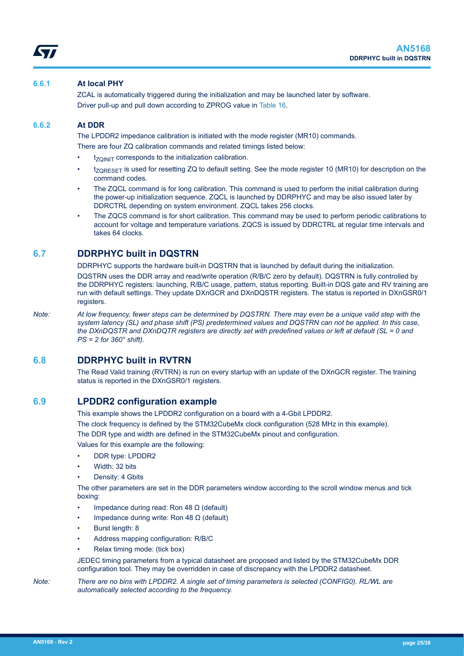### <span id="page-24-0"></span>**6.6.1 At local PHY**

ZCAL is automatically triggered during the initialization and may be launched later by software. Driver pull-up and pull down according to ZPROG value in [Table 16.](#page-23-0)

### **6.6.2 At DDR**

The LPDDR2 impedance calibration is initiated with the mode register (MR10) commands. There are four ZQ calibration commands and related timings listed below:

- $t_{ZOINIT}$  corresponds to the initialization calibration.
- tz<sub>ORESET</sub> is used for resetting ZQ to default setting. See the mode register 10 (MR10) for description on the command codes.
- The ZQCL command is for long calibration. This command is used to perform the initial calibration during the power-up initialization sequence. ZQCL is launched by DDRPHYC and may be also issued later by DDRCTRL depending on system environment. ZQCL takes 256 clocks.
- The ZQCS command is for short calibration. This command may be used to perform periodic calibrations to account for voltage and temperature variations. ZQCS is issued by DDRCTRL at regular time intervals and takes 64 clocks.

## **6.7 DDRPHYC built in DQSTRN**

DDRPHYC supports the hardware built-in DQSTRN that is launched by default during the initialization.

DQSTRN uses the DDR array and read/write operation (R/B/C zero by default). DQSTRN is fully controlled by the DDRPHYC registers: launching, R/B/C usage, pattern, status reporting. Built-in DQS gate and RV training are run with default settings. They update DXnGCR and DXnDQSTR registers. The status is reported in DXnGSR0/1 registers.

*Note: At low frequency, fewer steps can be determined by DQSTRN. There may even be a unique valid step with the system latency (SL) and phase shift (PS) predetermined values and DQSTRN can not be applied. In this case, the DXnDQSTR and DXnDQTR registers are directly set with predefined values or left at default (SL = 0 and PS = 2 for 360° shift).*

### **6.8 DDRPHYC built in RVTRN**

The Read Valid training (RVTRN) is run on every startup with an update of the DXnGCR register. The training status is reported in the DXnGSR0/1 registers.

### **6.9 LPDDR2 configuration example**

This example shows the LPDDR2 configuration on a board with a 4-Gbit LPDDR2.

The clock frequency is defined by the STM32CubeMx clock configuration (528 MHz in this example).

The DDR type and width are defined in the STM32CubeMx pinout and configuration.

Values for this example are the following:

- DDR type: LPDDR2
- Width: 32 bits
- Density: 4 Gbits

The other parameters are set in the DDR parameters window according to the scroll window menus and tick boxing:

- Impedance during read: Ron 48 Ω (default)
- Impedance during write: Ron 48 Ω (default)
- Burst length: 8
- Address mapping configuration: R/B/C
- Relax timing mode: (tick box)

JEDEC timing parameters from a typical datasheet are proposed and listed by the STM32CubeMx DDR configuration tool. They may be overridden in case of discrepancy with the LPDDR2 datasheet.

*Note: There are no bins with LPDDR2. A single set of timing parameters is selected (CONFIG0). RL/WL are automatically selected according to the frequency.*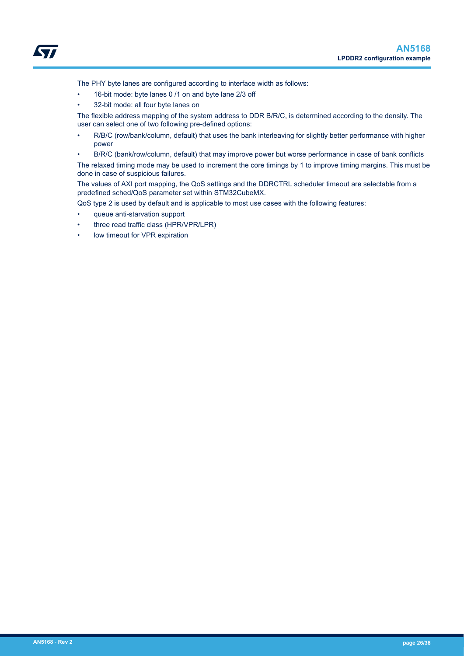

The PHY byte lanes are configured according to interface width as follows:

- 16-bit mode: byte lanes 0 /1 on and byte lane 2/3 off
- 32-bit mode: all four byte lanes on

The flexible address mapping of the system address to DDR B/R/C, is determined according to the density. The user can select one of two following pre-defined options:

- R/B/C (row/bank/column, default) that uses the bank interleaving for slightly better performance with higher power
- B/R/C (bank/row/column, default) that may improve power but worse performance in case of bank conflicts

The relaxed timing mode may be used to increment the core timings by 1 to improve timing margins. This must be done in case of suspicious failures.

The values of AXI port mapping, the QoS settings and the DDRCTRL scheduler timeout are selectable from a predefined sched/QoS parameter set within STM32CubeMX.

QoS type 2 is used by default and is applicable to most use cases with the following features:

- queue anti-starvation support
- three read traffic class (HPR/VPR/LPR)
- low timeout for VPR expiration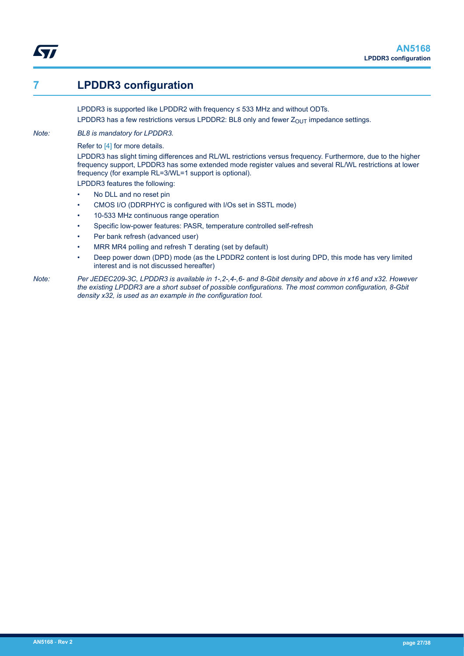# <span id="page-26-0"></span>**7 LPDDR3 configuration**

LPDDR3 is supported like LPDDR2 with frequency ≤ 533 MHz and without ODTs. LPDDR3 has a few restrictions versus LPDDR2: BL8 only and fewer  $Z_{OUT}$  impedance settings.

*Note: BL8 is mandatory for LPDDR3.*

Refer to [\[4\]](#page-0-0) for more details.

LPDDR3 has slight timing differences and RL/WL restrictions versus frequency. Furthermore, due to the higher frequency support, LPDDR3 has some extended mode register values and several RL/WL restrictions at lower frequency (for example RL=3/WL=1 support is optional).

LPDDR3 features the following:

- No DLL and no reset pin
- CMOS I/O (DDRPHYC is configured with I/Os set in SSTL mode)
- 10-533 MHz continuous range operation
- Specific low-power features: PASR, temperature controlled self-refresh
- Per bank refresh (advanced user)
- MRR MR4 polling and refresh T derating (set by default)
- Deep power down (DPD) mode (as the LPDDR2 content is lost during DPD, this mode has very limited interest and is not discussed hereafter)
- *Note: Per JEDEC209-3C, LPDDR3 is available in 1-,2-,4-,6- and 8-Gbit density and above in x16 and x32. However the existing LPDDR3 are a short subset of possible configurations. The most common configuration, 8-Gbit density x32, is used as an example in the configuration tool.*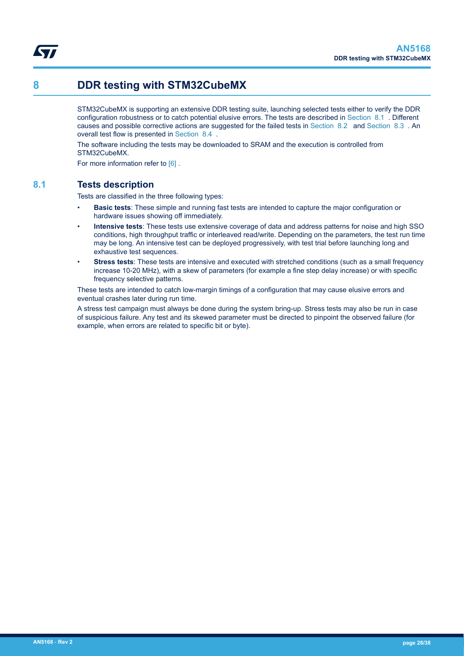<span id="page-27-0"></span>

# **8 DDR testing with STM32CubeMX**

STM32CubeMX is supporting an extensive DDR testing suite, launching selected tests either to verify the DDR configuration robustness or to catch potential elusive errors. The tests are described in Section 8.1 . Different causes and possible corrective actions are suggested for the failed tests in [Section 8.2](#page-28-0) and [Section 8.3](#page-29-0) . An overall test flow is presented in [Section 8.4](#page-29-0) .

The software including the tests may be downloaded to SRAM and the execution is controlled from STM32CubeMX.

For more information refer to [6].

## **8.1 Tests description**

Tests are classified in the three following types:

- **Basic tests**: These simple and running fast tests are intended to capture the major configuration or hardware issues showing off immediately.
- **Intensive tests**: These tests use extensive coverage of data and address patterns for noise and high SSO conditions, high throughput traffic or interleaved read/write. Depending on the parameters, the test run time may be long. An intensive test can be deployed progressively, with test trial before launching long and exhaustive test sequences.
- **Stress tests**: These tests are intensive and executed with stretched conditions (such as a small frequency increase 10-20 MHz), with a skew of parameters (for example a fine step delay increase) or with specific frequency selective patterns.

These tests are intended to catch low-margin timings of a configuration that may cause elusive errors and eventual crashes later during run time.

A stress test campaign must always be done during the system bring-up. Stress tests may also be run in case of suspicious failure. Any test and its skewed parameter must be directed to pinpoint the observed failure (for example, when errors are related to specific bit or byte).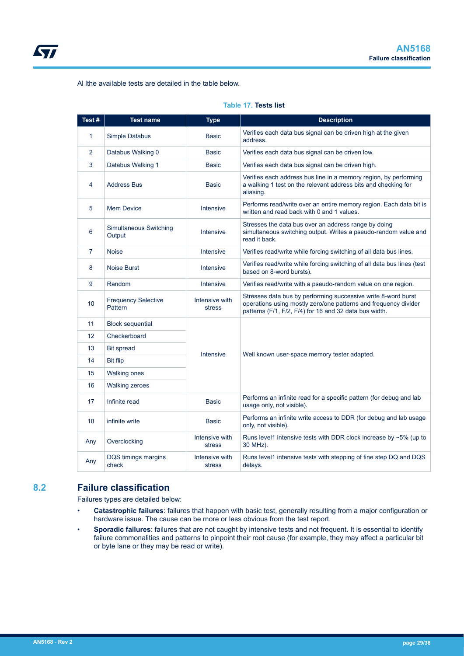<span id="page-28-0"></span>Al lthe available tests are detailed in the table below.

| Test#           | <b>Test name</b>                      | <b>Type</b>              | <b>Description</b>                                                                                                                                                                         |
|-----------------|---------------------------------------|--------------------------|--------------------------------------------------------------------------------------------------------------------------------------------------------------------------------------------|
| $\mathbf{1}$    | Simple Databus                        | <b>Basic</b>             | Verifies each data bus signal can be driven high at the given<br>address.                                                                                                                  |
| 2               | Databus Walking 0                     | <b>Basic</b>             | Verifies each data bus signal can be driven low.                                                                                                                                           |
| 3               | Databus Walking 1                     | <b>Basic</b>             | Verifies each data bus signal can be driven high.                                                                                                                                          |
| 4               | <b>Address Bus</b>                    | <b>Basic</b>             | Verifies each address bus line in a memory region, by performing<br>a walking 1 test on the relevant address bits and checking for<br>aliasing.                                            |
| 5               | <b>Mem Device</b>                     | Intensive                | Performs read/write over an entire memory region. Each data bit is<br>written and read back with 0 and 1 values.                                                                           |
| 6               | Simultaneous Switching<br>Output      | Intensive                | Stresses the data bus over an address range by doing<br>simultaneous switching output. Writes a pseudo-random value and<br>read it back.                                                   |
| 7               | <b>Noise</b>                          | Intensive                | Verifies read/write while forcing switching of all data bus lines.                                                                                                                         |
| 8               | <b>Noise Burst</b>                    | Intensive                | Verifies read/write while forcing switching of all data bus lines (test<br>based on 8-word bursts).                                                                                        |
| 9               | Random                                | Intensive                | Verifies read/write with a pseudo-random value on one region.                                                                                                                              |
| 10 <sup>°</sup> | <b>Frequency Selective</b><br>Pattern | Intensive with<br>stress | Stresses data bus by performing successive write 8-word burst<br>operations using mostly zero/one patterns and frequency divider<br>patterns (F/1, F/2, F/4) for 16 and 32 data bus width. |
| 11              | <b>Block sequential</b>               |                          |                                                                                                                                                                                            |
| 12              | Checkerboard                          |                          |                                                                                                                                                                                            |
| 13              | <b>Bit spread</b>                     | Intensive                |                                                                                                                                                                                            |
| 14              | <b>Bit flip</b>                       |                          | Well known user-space memory tester adapted.                                                                                                                                               |
| 15              | <b>Walking ones</b>                   |                          |                                                                                                                                                                                            |
| 16              | <b>Walking zeroes</b>                 |                          |                                                                                                                                                                                            |
| 17              | Infinite read                         | <b>Basic</b>             | Performs an infinite read for a specific pattern (for debug and lab<br>usage only, not visible).                                                                                           |
| 18              | infinite write                        | <b>Basic</b>             | Performs an infinite write access to DDR (for debug and lab usage<br>only, not visible).                                                                                                   |
| Any             | Overclocking                          | Intensive with<br>stress | Runs level1 intensive tests with DDR clock increase by $\sim$ 5% (up to<br>30 MHz).                                                                                                        |
| Any             | DQS timings margins<br>check          | Intensive with<br>stress | Runs level1 intensive tests with stepping of fine step DQ and DQS<br>delays.                                                                                                               |

### **Table 17. Tests list**

## **8.2 Failure classification**

Failures types are detailed below:

- **Catastrophic failures**: failures that happen with basic test, generally resulting from a major configuration or hardware issue. The cause can be more or less obvious from the test report.
- **Sporadic failures**: failures that are not caught by intensive tests and not frequent. It is essential to identify failure commonalities and patterns to pinpoint their root cause (for example, they may affect a particular bit or byte lane or they may be read or write).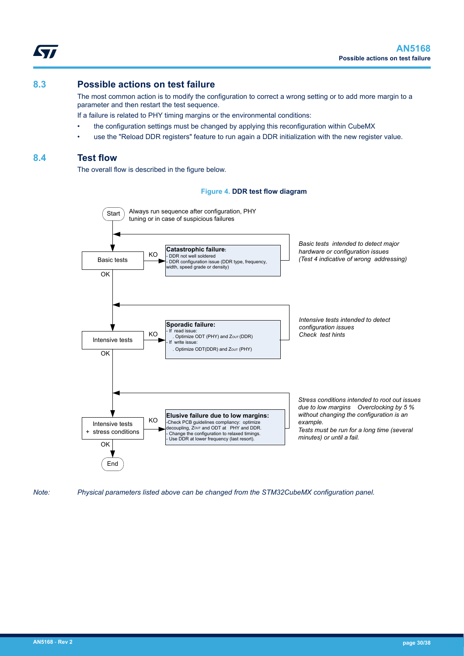### <span id="page-29-0"></span>**8.3 Possible actions on test failure**

The most common action is to modify the configuration to correct a wrong setting or to add more margin to a parameter and then restart the test sequence.

If a failure is related to PHY timing margins or the environmental conditions:

- the configuration settings must be changed by applying this reconfiguration within CubeMX
- use the "Reload DDR registers" feature to run again a DDR initialization with the new register value.

### **8.4 Test flow**

The overall flow is described in the figure below.

### **Figure 4. DDR test flow diagram**



*Note: Physical parameters listed above can be changed from the STM32CubeMX configuration panel.*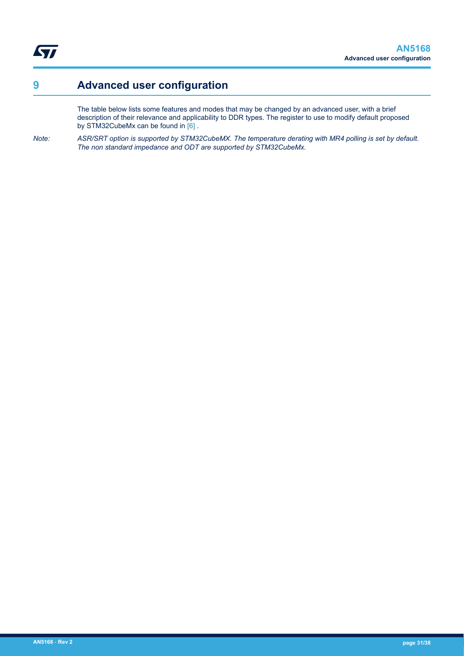<span id="page-30-0"></span>ST

# **9 Advanced user configuration**

The table below lists some features and modes that may be changed by an advanced user, with a brief description of their relevance and applicability to DDR types. The register to use to modify default proposed by STM32CubeMx can be found in [\[6\] .](#page-0-0)

*Note: ASR/SRT option is supported by STM32CubeMX. The temperature derating with MR4 polling is set by default. The non standard impedance and ODT are supported by STM32CubeMx.*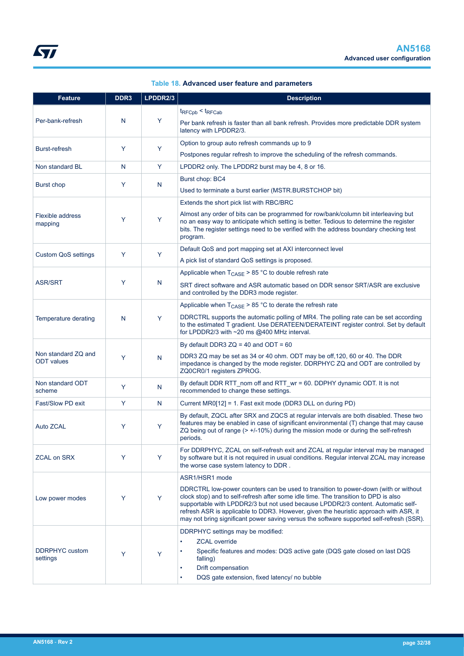| Table 18. Advanced user feature and parameters |  |
|------------------------------------------------|--|
|------------------------------------------------|--|

<span id="page-31-0"></span>

| <b>Feature</b>                           | DDR <sub>3</sub> | LPDDR2/3     | <b>Description</b>                                                                                                                                                                                                                                                                                                                                                                                                                                  |
|------------------------------------------|------------------|--------------|-----------------------------------------------------------------------------------------------------------------------------------------------------------------------------------------------------------------------------------------------------------------------------------------------------------------------------------------------------------------------------------------------------------------------------------------------------|
|                                          |                  |              | $t_{\text{RFCpb}} < t_{\text{RFCab}}$                                                                                                                                                                                                                                                                                                                                                                                                               |
| Per-bank-refresh                         | N                | Y            | Per bank refresh is faster than all bank refresh. Provides more predictable DDR system<br>latency with LPDDR2/3.                                                                                                                                                                                                                                                                                                                                    |
|                                          |                  |              | Option to group auto refresh commands up to 9                                                                                                                                                                                                                                                                                                                                                                                                       |
| <b>Burst-refresh</b>                     | Y                | Y            | Postpones regular refresh to improve the scheduling of the refresh commands.                                                                                                                                                                                                                                                                                                                                                                        |
| Non standard BL                          | N                | Y            | LPDDR2 only. The LPDDR2 burst may be 4, 8 or 16.                                                                                                                                                                                                                                                                                                                                                                                                    |
|                                          | Y                |              | Burst chop: BC4                                                                                                                                                                                                                                                                                                                                                                                                                                     |
| Burst chop                               |                  | N            | Used to terminate a burst earlier (MSTR.BURSTCHOP bit)                                                                                                                                                                                                                                                                                                                                                                                              |
|                                          |                  |              | Extends the short pick list with RBC/BRC                                                                                                                                                                                                                                                                                                                                                                                                            |
| Flexible address<br>mapping              | Y                | Y            | Almost any order of bits can be programmed for row/bank/column bit interleaving but<br>no an easy way to anticipate which setting is better. Tedious to determine the register<br>bits. The register settings need to be verified with the address boundary checking test<br>program.                                                                                                                                                               |
|                                          | Y                | Y            | Default QoS and port mapping set at AXI interconnect level                                                                                                                                                                                                                                                                                                                                                                                          |
| <b>Custom QoS settings</b>               |                  |              | A pick list of standard QoS settings is proposed.                                                                                                                                                                                                                                                                                                                                                                                                   |
|                                          |                  |              | Applicable when $T_{\text{CASE}}$ > 85 °C to double refresh rate                                                                                                                                                                                                                                                                                                                                                                                    |
| <b>ASR/SRT</b>                           | Y                | N            | SRT direct software and ASR automatic based on DDR sensor SRT/ASR are exclusive<br>and controlled by the DDR3 mode register.                                                                                                                                                                                                                                                                                                                        |
|                                          |                  |              | Applicable when $T_{\text{CASE}}$ > 85 °C to derate the refresh rate                                                                                                                                                                                                                                                                                                                                                                                |
| Temperature derating                     | N                | Y            | DDRCTRL supports the automatic polling of MR4. The polling rate can be set according<br>to the estimated T gradient. Use DERATEEN/DERATEINT register control. Set by default<br>for LPDDR2/3 with ~20 ms @400 MHz interval.                                                                                                                                                                                                                         |
|                                          |                  |              | By default DDR3 $ZQ = 40$ and ODT = 60                                                                                                                                                                                                                                                                                                                                                                                                              |
| Non standard ZQ and<br><b>ODT</b> values | Y                | N            | DDR3 ZQ may be set as 34 or 40 ohm. ODT may be off, 120, 60 or 40. The DDR<br>impedance is changed by the mode register. DDRPHYC ZQ and ODT are controlled by<br>ZQ0CR0/1 registers ZPROG.                                                                                                                                                                                                                                                          |
| Non standard ODT<br>scheme               | Y                | N            | By default DDR RTT_nom off and RTT_wr = 60. DDPHY dynamic ODT. It is not<br>recommended to change these settings.                                                                                                                                                                                                                                                                                                                                   |
| Fast/Slow PD exit                        | Y                | $\mathsf{N}$ | Current MR0[12] = 1. Fast exit mode (DDR3 DLL on during PD)                                                                                                                                                                                                                                                                                                                                                                                         |
| Auto ZCAL                                | Y                | Y            | By default, ZQCL after SRX and ZQCS at regular intervals are both disabled. These two<br>features may be enabled in case of significant environmental (T) change that may cause<br>ZQ being out of range (> +/-10%) during the mission mode or during the self-refresh<br>periods.                                                                                                                                                                  |
| <b>ZCAL on SRX</b>                       | Y                | Y            | For DDRPHYC, ZCAL on self-refresh exit and ZCAL at regular interval may be managed<br>by software but it is not required in usual conditions. Regular interval ZCAL may increase<br>the worse case system latency to DDR.                                                                                                                                                                                                                           |
|                                          |                  |              | ASR1/HSR1 mode                                                                                                                                                                                                                                                                                                                                                                                                                                      |
| Low power modes                          | Y                | Y            | DDRCTRL low-power counters can be used to transition to power-down (with or without<br>clock stop) and to self-refresh after some idle time. The transition to DPD is also<br>supportable with LPDDR2/3 but not used because LPDDR2/3 content. Automatic self-<br>refresh ASR is applicable to DDR3. However, given the heuristic approach with ASR, it<br>may not bring significant power saving versus the software supported self-refresh (SSR). |
|                                          |                  |              | DDRPHYC settings may be modified:                                                                                                                                                                                                                                                                                                                                                                                                                   |
|                                          |                  |              | <b>ZCAL</b> override                                                                                                                                                                                                                                                                                                                                                                                                                                |
| <b>DDRPHYC</b> custom<br>settings        | Y                | Y            | Specific features and modes: DQS active gate (DQS gate closed on last DQS<br>falling)                                                                                                                                                                                                                                                                                                                                                               |
|                                          |                  |              | Drift compensation<br>DQS gate extension, fixed latency/ no bubble                                                                                                                                                                                                                                                                                                                                                                                  |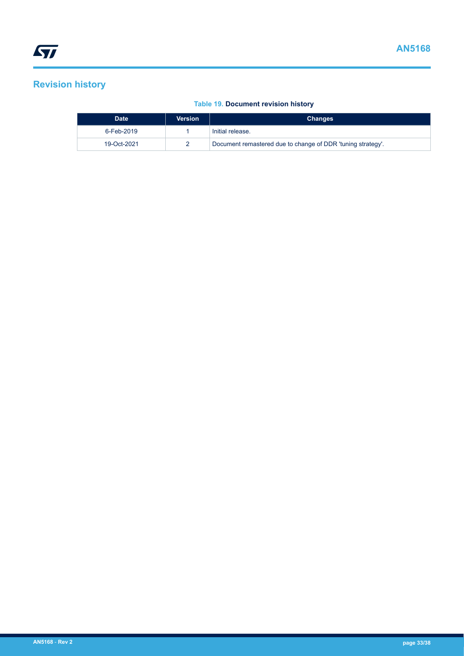# <span id="page-32-0"></span>**Revision history**

### **Table 19. Document revision history**

| <b>Date</b> | <b>Version</b> | <b>Changes</b>                                              |
|-------------|----------------|-------------------------------------------------------------|
| 6-Feb-2019  |                | Initial release.                                            |
| 19-Oct-2021 |                | Document remastered due to change of DDR 'tuning strategy'. |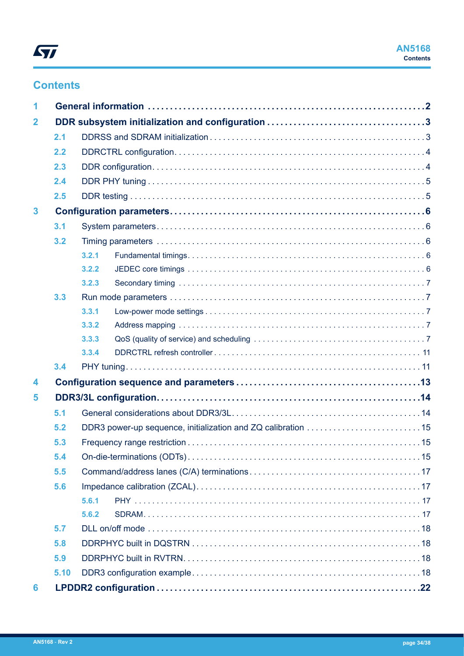# **Contents**

| 1            |      |       |  |  |  |  |
|--------------|------|-------|--|--|--|--|
| $\mathbf{2}$ |      |       |  |  |  |  |
|              | 2.1  |       |  |  |  |  |
|              | 2.2  |       |  |  |  |  |
|              | 2.3  |       |  |  |  |  |
|              | 2.4  |       |  |  |  |  |
|              | 2.5  |       |  |  |  |  |
| $\mathbf{3}$ |      |       |  |  |  |  |
|              | 3.1  |       |  |  |  |  |
|              | 3.2  |       |  |  |  |  |
|              |      | 3.2.1 |  |  |  |  |
|              |      | 3.2.2 |  |  |  |  |
|              |      | 3.2.3 |  |  |  |  |
|              | 3.3  |       |  |  |  |  |
|              |      | 3.3.1 |  |  |  |  |
|              |      | 3.3.2 |  |  |  |  |
|              |      | 3.3.3 |  |  |  |  |
|              |      | 3.3.4 |  |  |  |  |
|              | 3.4  |       |  |  |  |  |
| 4            |      |       |  |  |  |  |
| 5            |      |       |  |  |  |  |
|              | 5.1  |       |  |  |  |  |
|              | 5.2  |       |  |  |  |  |
|              | 5.3  |       |  |  |  |  |
|              | 5.4  |       |  |  |  |  |
|              | 5.5  |       |  |  |  |  |
|              | 5.6  |       |  |  |  |  |
|              |      | 5.6.1 |  |  |  |  |
|              |      | 5.6.2 |  |  |  |  |
|              | 5.7  |       |  |  |  |  |
|              | 5.8  |       |  |  |  |  |
|              | 5.9  |       |  |  |  |  |
|              | 5.10 |       |  |  |  |  |
| 6            |      |       |  |  |  |  |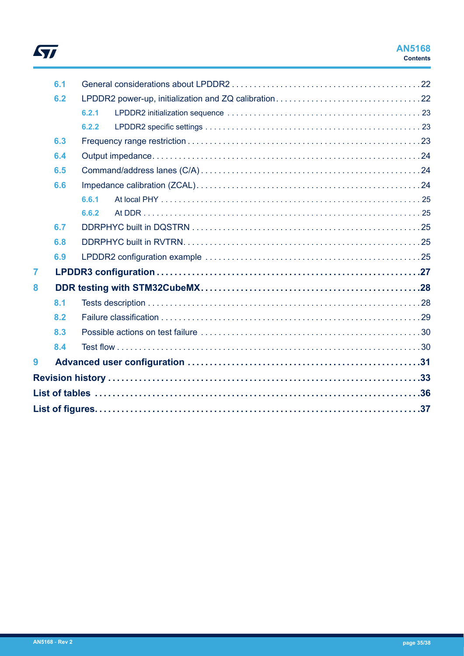

|   | 6.1 |       |                                                |  |
|---|-----|-------|------------------------------------------------|--|
|   | 6.2 |       |                                                |  |
|   |     | 6.2.1 |                                                |  |
|   |     | 6.2.2 |                                                |  |
|   | 6.3 |       |                                                |  |
|   | 6.4 |       |                                                |  |
|   | 6.5 |       |                                                |  |
|   | 6.6 |       |                                                |  |
|   |     | 6.6.1 |                                                |  |
|   |     | 6.6.2 |                                                |  |
|   | 6.7 |       |                                                |  |
|   | 6.8 |       |                                                |  |
|   | 6.9 |       |                                                |  |
| 7 |     |       |                                                |  |
| 8 |     |       |                                                |  |
|   | 8.1 |       |                                                |  |
|   | 8.2 |       |                                                |  |
|   | 8.3 |       |                                                |  |
|   | 8.4 |       |                                                |  |
| 9 |     |       |                                                |  |
|   |     |       |                                                |  |
|   |     |       |                                                |  |
|   |     |       | List of figures……………………………………………………………………………37 |  |
|   |     |       |                                                |  |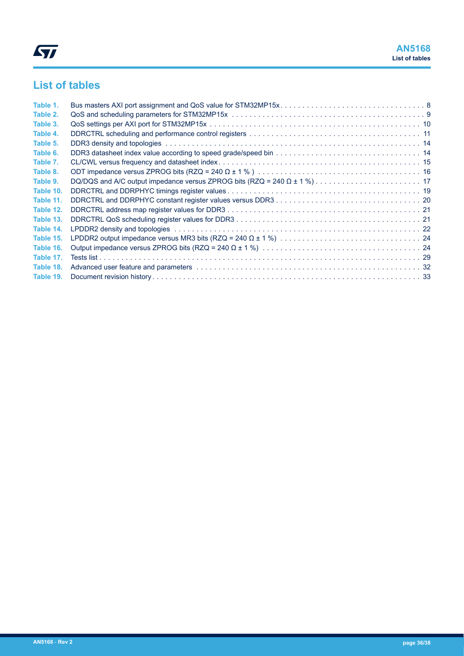# <span id="page-35-0"></span>**List of tables**

| Table 1.  |                                                                                                                                                                                                                               |  |
|-----------|-------------------------------------------------------------------------------------------------------------------------------------------------------------------------------------------------------------------------------|--|
| Table 2.  |                                                                                                                                                                                                                               |  |
| Table 3.  |                                                                                                                                                                                                                               |  |
| Table 4.  |                                                                                                                                                                                                                               |  |
| Table 5.  | DDR3 density and topologies with the contract of the contract of the contract of the contract of the contract of the contract of the contract of the contract of the contract of the contract of the contract of the contract |  |
| Table 6.  |                                                                                                                                                                                                                               |  |
| Table 7.  |                                                                                                                                                                                                                               |  |
| Table 8.  |                                                                                                                                                                                                                               |  |
| Table 9.  |                                                                                                                                                                                                                               |  |
| Table 10. |                                                                                                                                                                                                                               |  |
| Table 11. |                                                                                                                                                                                                                               |  |
| Table 12. |                                                                                                                                                                                                                               |  |
| Table 13. |                                                                                                                                                                                                                               |  |
| Table 14. |                                                                                                                                                                                                                               |  |
| Table 15. |                                                                                                                                                                                                                               |  |
| Table 16. |                                                                                                                                                                                                                               |  |
| Table 17. |                                                                                                                                                                                                                               |  |
| Table 18. |                                                                                                                                                                                                                               |  |
| Table 19. |                                                                                                                                                                                                                               |  |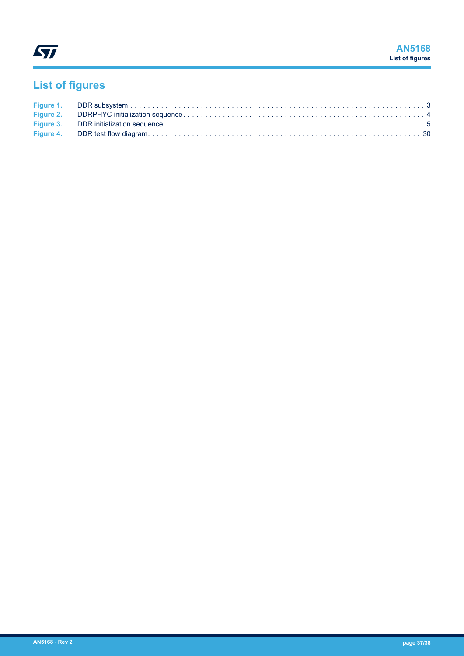<span id="page-36-0"></span>

# **List of figures**